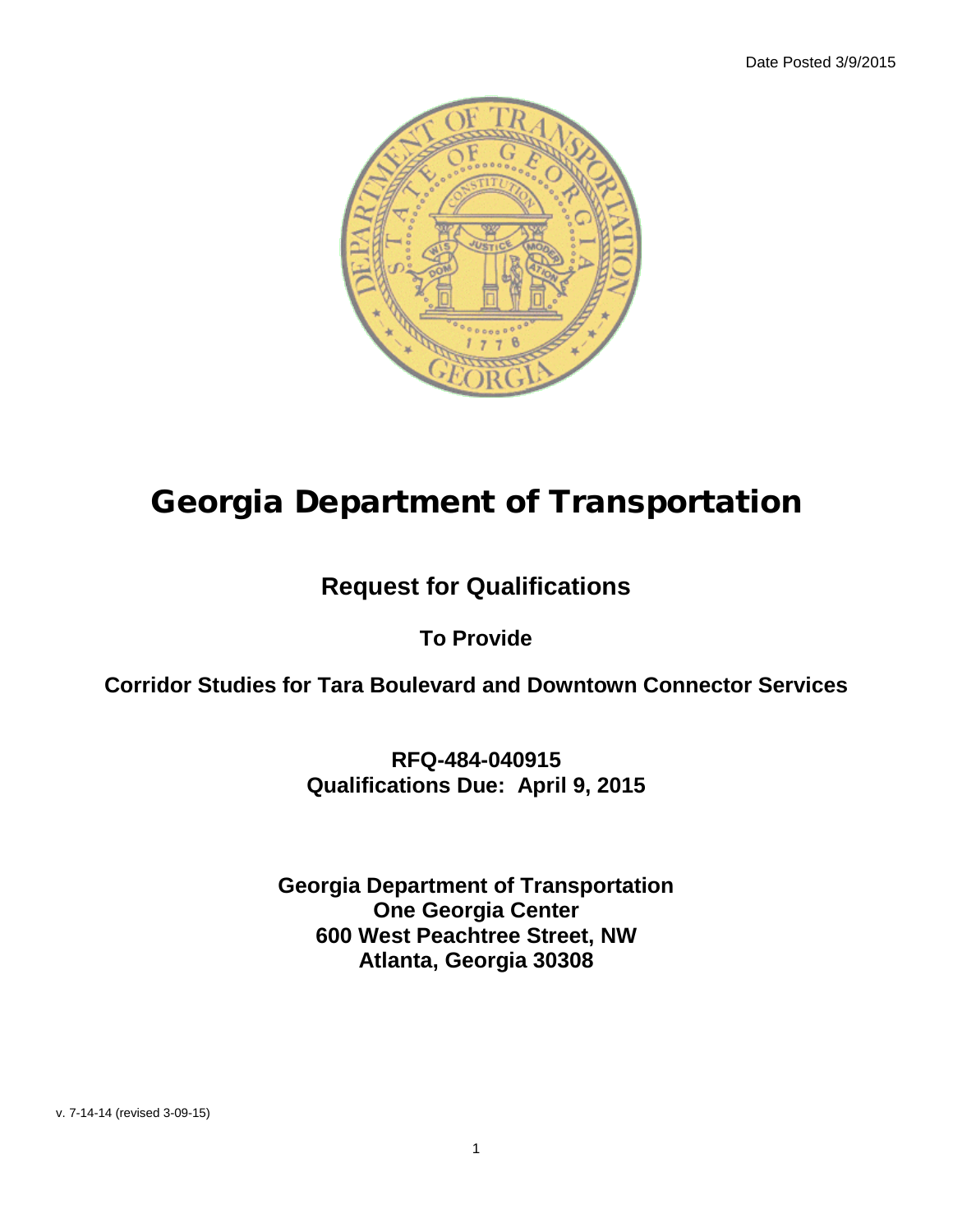

# Georgia Department of Transportation

## **Request for Qualifications**

## **To Provide**

**Corridor Studies for Tara Boulevard and Downtown Connector Services**

**RFQ-484-040915 Qualifications Due: April 9, 2015**

**Georgia Department of Transportation One Georgia Center 600 West Peachtree Street, NW Atlanta, Georgia 30308**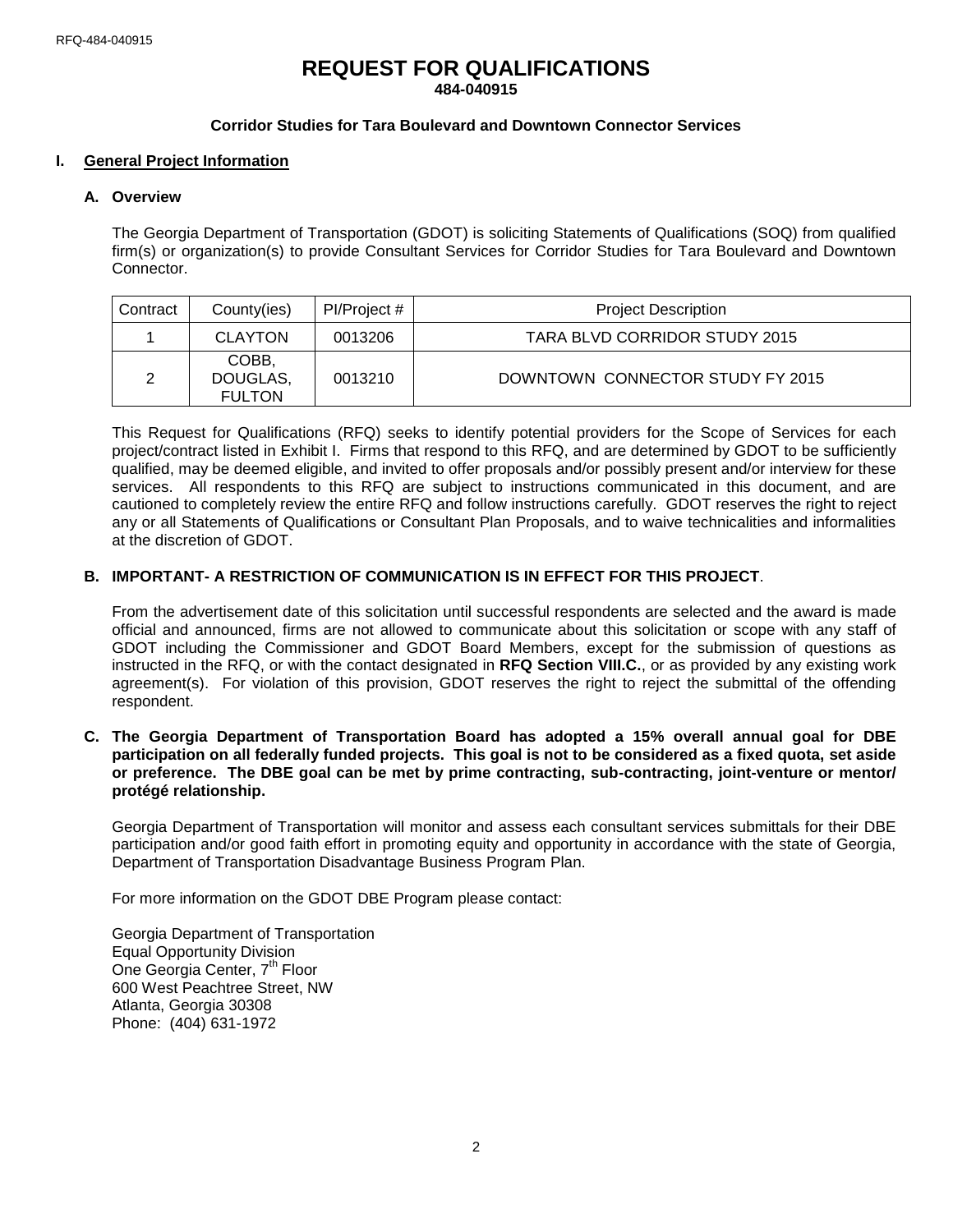## **REQUEST FOR QUALIFICATIONS 484-040915**

## **Corridor Studies for Tara Boulevard and Downtown Connector Services**

#### **I. General Project Information**

#### **A. Overview**

The Georgia Department of Transportation (GDOT) is soliciting Statements of Qualifications (SOQ) from qualified firm(s) or organization(s) to provide Consultant Services for Corridor Studies for Tara Boulevard and Downtown Connector.

| Contract | County(ies)                        | Pl/Project # | <b>Project Description</b>       |
|----------|------------------------------------|--------------|----------------------------------|
|          | <b>CLAYTON</b>                     | 0013206      | TARA BLVD CORRIDOR STUDY 2015    |
|          | COBB.<br>DOUGLAS,<br><b>FULTON</b> | 0013210      | DOWNTOWN CONNECTOR STUDY FY 2015 |

This Request for Qualifications (RFQ) seeks to identify potential providers for the Scope of Services for each project/contract listed in Exhibit I. Firms that respond to this RFQ, and are determined by GDOT to be sufficiently qualified, may be deemed eligible, and invited to offer proposals and/or possibly present and/or interview for these services. All respondents to this RFQ are subject to instructions communicated in this document, and are cautioned to completely review the entire RFQ and follow instructions carefully. GDOT reserves the right to reject any or all Statements of Qualifications or Consultant Plan Proposals, and to waive technicalities and informalities at the discretion of GDOT.

#### **B. IMPORTANT- A RESTRICTION OF COMMUNICATION IS IN EFFECT FOR THIS PROJECT**.

From the advertisement date of this solicitation until successful respondents are selected and the award is made official and announced, firms are not allowed to communicate about this solicitation or scope with any staff of GDOT including the Commissioner and GDOT Board Members, except for the submission of questions as instructed in the RFQ, or with the contact designated in **RFQ Section VIII.C.**, or as provided by any existing work agreement(s). For violation of this provision, GDOT reserves the right to reject the submittal of the offending respondent.

**C. The Georgia Department of Transportation Board has adopted a 15% overall annual goal for DBE participation on all federally funded projects. This goal is not to be considered as a fixed quota, set aside or preference. The DBE goal can be met by prime contracting, sub-contracting, joint-venture or mentor/ protégé relationship.**

Georgia Department of Transportation will monitor and assess each consultant services submittals for their DBE participation and/or good faith effort in promoting equity and opportunity in accordance with the state of Georgia, Department of Transportation Disadvantage Business Program Plan.

For more information on the GDOT DBE Program please contact:

Georgia Department of Transportation Equal Opportunity Division One Georgia Center, 7<sup>th</sup> Floor 600 West Peachtree Street, NW Atlanta, Georgia 30308 Phone: (404) 631-1972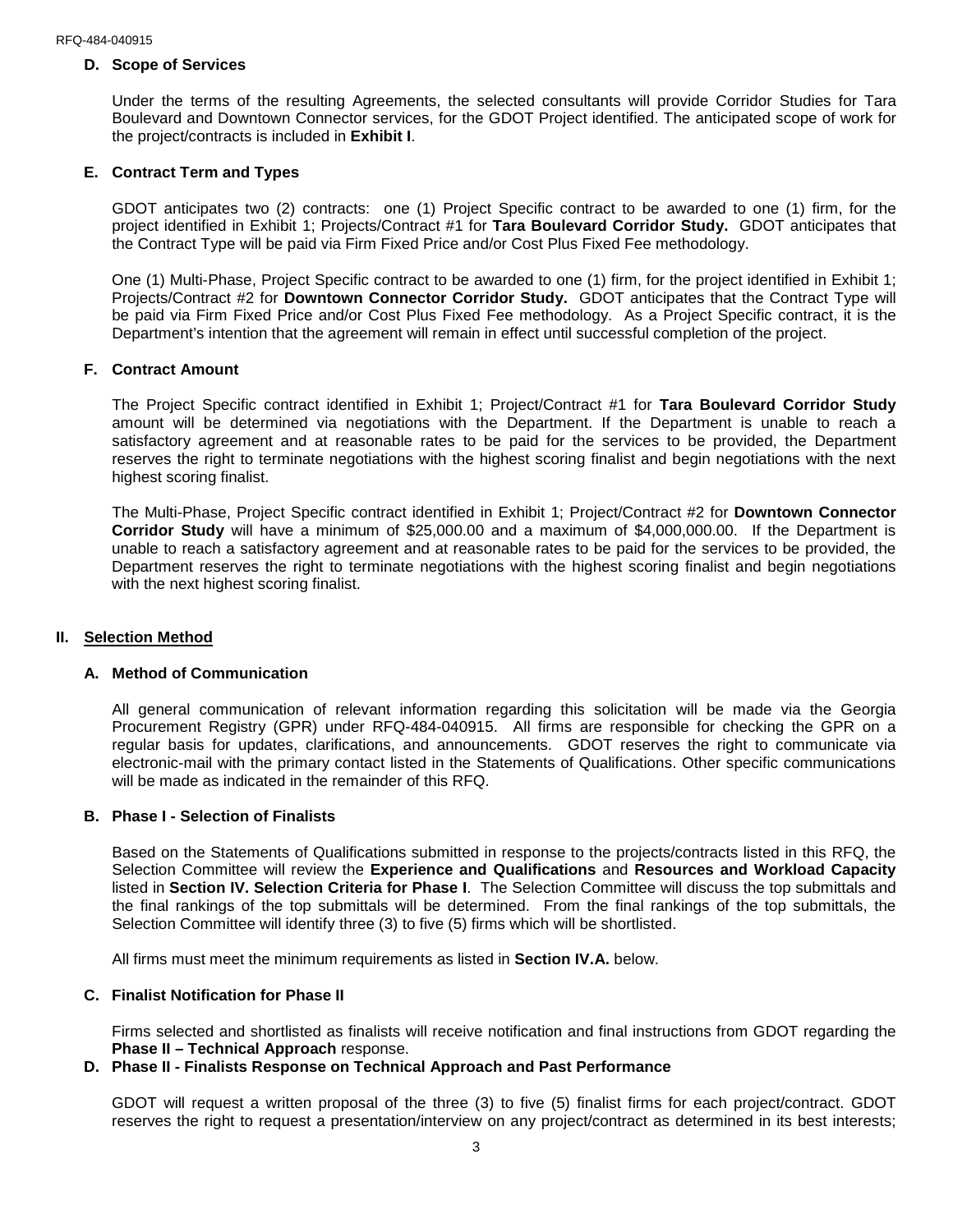#### **D. Scope of Services**

Under the terms of the resulting Agreements, the selected consultants will provide Corridor Studies for Tara Boulevard and Downtown Connector services, for the GDOT Project identified. The anticipated scope of work for the project/contracts is included in **Exhibit I**.

## **E. Contract Term and Types**

GDOT anticipates two (2) contracts: one (1) Project Specific contract to be awarded to one (1) firm, for the project identified in Exhibit 1; Projects/Contract #1 for **Tara Boulevard Corridor Study.** GDOT anticipates that the Contract Type will be paid via Firm Fixed Price and/or Cost Plus Fixed Fee methodology.

One (1) Multi-Phase, Project Specific contract to be awarded to one (1) firm, for the project identified in Exhibit 1; Projects/Contract #2 for **Downtown Connector Corridor Study.** GDOT anticipates that the Contract Type will be paid via Firm Fixed Price and/or Cost Plus Fixed Fee methodology. As a Project Specific contract, it is the Department's intention that the agreement will remain in effect until successful completion of the project.

#### **F. Contract Amount**

The Project Specific contract identified in Exhibit 1; Project/Contract #1 for **Tara Boulevard Corridor Study** amount will be determined via negotiations with the Department. If the Department is unable to reach a satisfactory agreement and at reasonable rates to be paid for the services to be provided, the Department reserves the right to terminate negotiations with the highest scoring finalist and begin negotiations with the next highest scoring finalist.

The Multi-Phase, Project Specific contract identified in Exhibit 1; Project/Contract #2 for **Downtown Connector Corridor Study** will have a minimum of \$25,000.00 and a maximum of \$4,000,000.00. If the Department is unable to reach a satisfactory agreement and at reasonable rates to be paid for the services to be provided, the Department reserves the right to terminate negotiations with the highest scoring finalist and begin negotiations with the next highest scoring finalist.

#### **II. Selection Method**

#### **A. Method of Communication**

All general communication of relevant information regarding this solicitation will be made via the Georgia Procurement Registry (GPR) under RFQ-484-040915. All firms are responsible for checking the GPR on a regular basis for updates, clarifications, and announcements. GDOT reserves the right to communicate via electronic-mail with the primary contact listed in the Statements of Qualifications. Other specific communications will be made as indicated in the remainder of this RFQ.

#### **B. Phase I - Selection of Finalists**

Based on the Statements of Qualifications submitted in response to the projects/contracts listed in this RFQ, the Selection Committee will review the **Experience and Qualifications** and **Resources and Workload Capacity** listed in **Section IV. Selection Criteria for Phase I**. The Selection Committee will discuss the top submittals and the final rankings of the top submittals will be determined. From the final rankings of the top submittals, the Selection Committee will identify three (3) to five (5) firms which will be shortlisted.

All firms must meet the minimum requirements as listed in **Section IV.A.** below.

#### **C. Finalist Notification for Phase II**

Firms selected and shortlisted as finalists will receive notification and final instructions from GDOT regarding the **Phase II – Technical Approach** response.

#### **D. Phase II - Finalists Response on Technical Approach and Past Performance**

GDOT will request a written proposal of the three (3) to five (5) finalist firms for each project/contract. GDOT reserves the right to request a presentation/interview on any project/contract as determined in its best interests;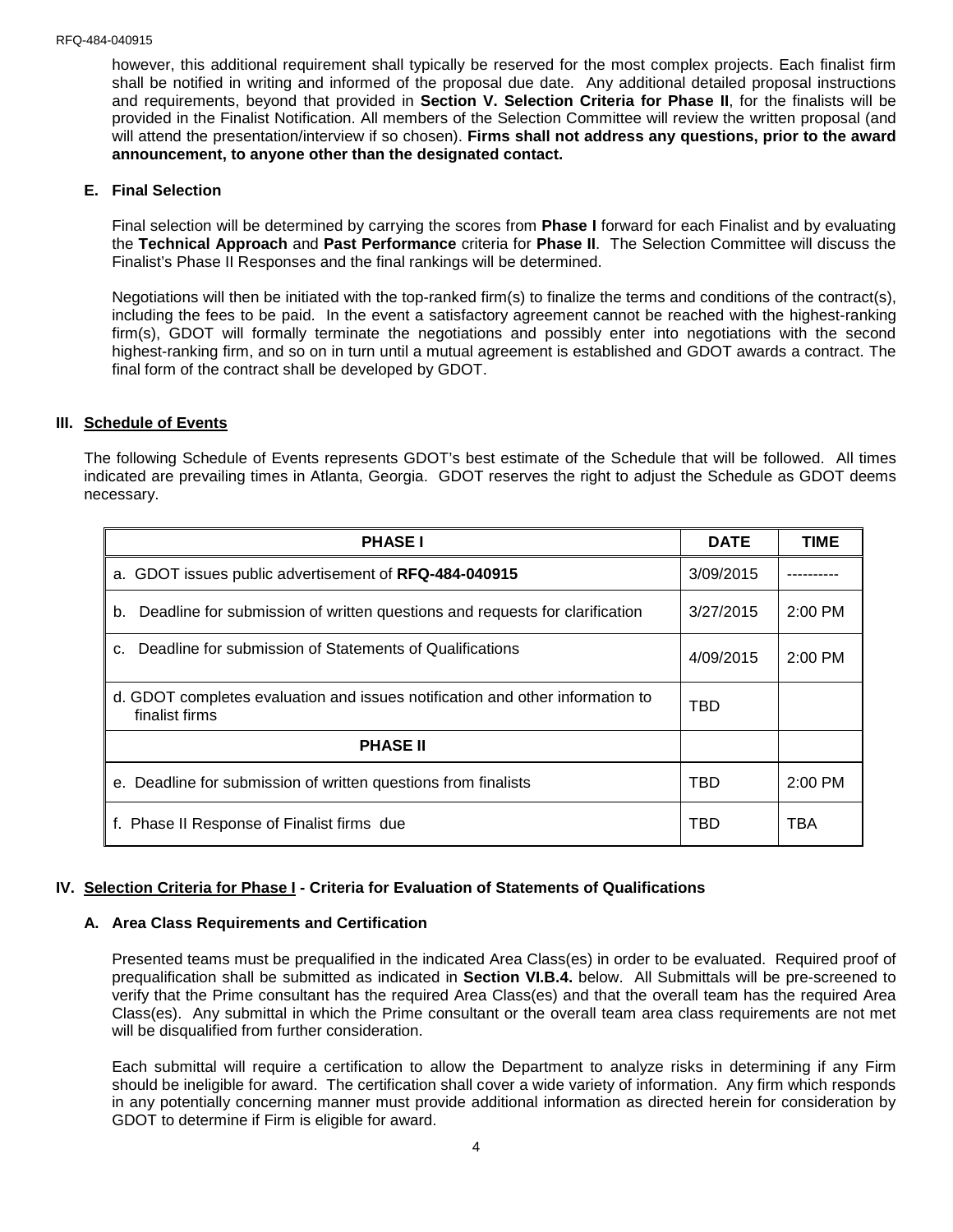however, this additional requirement shall typically be reserved for the most complex projects. Each finalist firm shall be notified in writing and informed of the proposal due date. Any additional detailed proposal instructions and requirements, beyond that provided in **Section V. Selection Criteria for Phase II**, for the finalists will be provided in the Finalist Notification. All members of the Selection Committee will review the written proposal (and will attend the presentation/interview if so chosen). **Firms shall not address any questions, prior to the award announcement, to anyone other than the designated contact.**

#### **E. Final Selection**

Final selection will be determined by carrying the scores from **Phase I** forward for each Finalist and by evaluating the **Technical Approach** and **Past Performance** criteria for **Phase II**. The Selection Committee will discuss the Finalist's Phase II Responses and the final rankings will be determined.

Negotiations will then be initiated with the top-ranked firm(s) to finalize the terms and conditions of the contract(s), including the fees to be paid. In the event a satisfactory agreement cannot be reached with the highest-ranking firm(s), GDOT will formally terminate the negotiations and possibly enter into negotiations with the second highest-ranking firm, and so on in turn until a mutual agreement is established and GDOT awards a contract. The final form of the contract shall be developed by GDOT.

#### **III. Schedule of Events**

The following Schedule of Events represents GDOT's best estimate of the Schedule that will be followed. All times indicated are prevailing times in Atlanta, Georgia. GDOT reserves the right to adjust the Schedule as GDOT deems necessary.

| <b>PHASE I</b>                                                                                  | <b>DATE</b> | <b>TIME</b> |
|-------------------------------------------------------------------------------------------------|-------------|-------------|
| a. GDOT issues public advertisement of RFQ-484-040915                                           | 3/09/2015   |             |
| Deadline for submission of written questions and requests for clarification<br>b.               | 3/27/2015   | $2:00$ PM   |
| Deadline for submission of Statements of Qualifications<br>C.                                   | 4/09/2015   | $2:00$ PM   |
| d. GDOT completes evaluation and issues notification and other information to<br>finalist firms | TBD         |             |
| <b>PHASE II</b>                                                                                 |             |             |
| e. Deadline for submission of written questions from finalists                                  | TBD         | $2:00$ PM   |
| f. Phase II Response of Finalist firms due                                                      | TBD         | TBA         |

#### **IV. Selection Criteria for Phase I - Criteria for Evaluation of Statements of Qualifications**

#### **A. Area Class Requirements and Certification**

Presented teams must be prequalified in the indicated Area Class(es) in order to be evaluated. Required proof of prequalification shall be submitted as indicated in **Section VI.B.4.** below. All Submittals will be pre-screened to verify that the Prime consultant has the required Area Class(es) and that the overall team has the required Area Class(es). Any submittal in which the Prime consultant or the overall team area class requirements are not met will be disqualified from further consideration.

Each submittal will require a certification to allow the Department to analyze risks in determining if any Firm should be ineligible for award. The certification shall cover a wide variety of information. Any firm which responds in any potentially concerning manner must provide additional information as directed herein for consideration by GDOT to determine if Firm is eligible for award.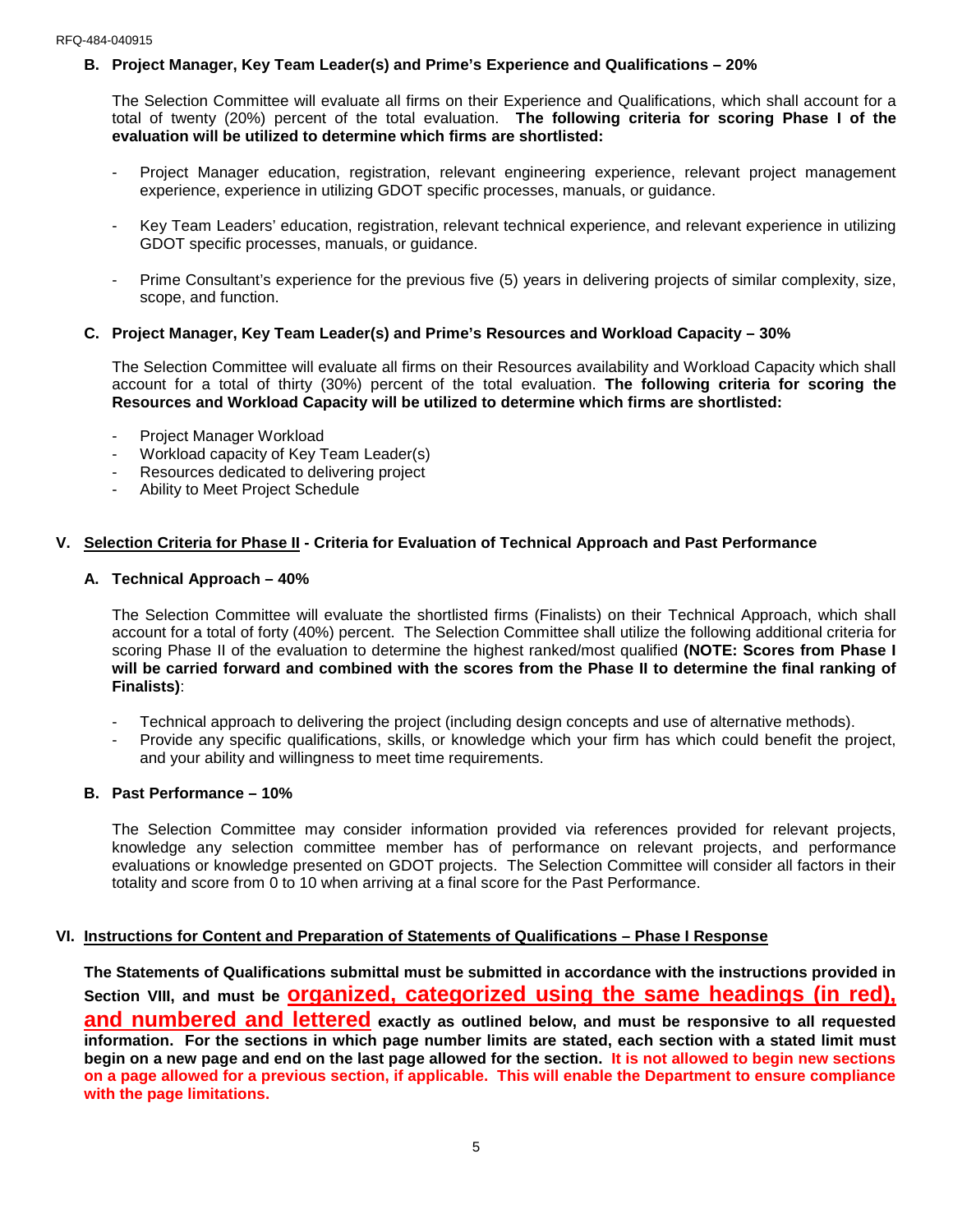## **B. Project Manager, Key Team Leader(s) and Prime's Experience and Qualifications – 20%**

The Selection Committee will evaluate all firms on their Experience and Qualifications, which shall account for a total of twenty (20%) percent of the total evaluation. **The following criteria for scoring Phase I of the evaluation will be utilized to determine which firms are shortlisted:**

- Project Manager education, registration, relevant engineering experience, relevant project management experience, experience in utilizing GDOT specific processes, manuals, or guidance.
- Key Team Leaders' education, registration, relevant technical experience, and relevant experience in utilizing GDOT specific processes, manuals, or guidance.
- Prime Consultant's experience for the previous five (5) years in delivering projects of similar complexity, size, scope, and function.

## **C. Project Manager, Key Team Leader(s) and Prime's Resources and Workload Capacity – 30%**

The Selection Committee will evaluate all firms on their Resources availability and Workload Capacity which shall account for a total of thirty (30%) percent of the total evaluation. **The following criteria for scoring the Resources and Workload Capacity will be utilized to determine which firms are shortlisted:**

- Project Manager Workload
- Workload capacity of Key Team Leader(s)
- Resources dedicated to delivering project
- Ability to Meet Project Schedule

## **V. Selection Criteria for Phase II - Criteria for Evaluation of Technical Approach and Past Performance**

#### **A. Technical Approach – 40%**

The Selection Committee will evaluate the shortlisted firms (Finalists) on their Technical Approach, which shall account for a total of forty (40%) percent. The Selection Committee shall utilize the following additional criteria for scoring Phase II of the evaluation to determine the highest ranked/most qualified **(NOTE: Scores from Phase I will be carried forward and combined with the scores from the Phase II to determine the final ranking of Finalists)**:

- Technical approach to delivering the project (including design concepts and use of alternative methods).
- Provide any specific qualifications, skills, or knowledge which your firm has which could benefit the project, and your ability and willingness to meet time requirements.

#### **B. Past Performance – 10%**

The Selection Committee may consider information provided via references provided for relevant projects, knowledge any selection committee member has of performance on relevant projects, and performance evaluations or knowledge presented on GDOT projects. The Selection Committee will consider all factors in their totality and score from 0 to 10 when arriving at a final score for the Past Performance.

#### **VI. Instructions for Content and Preparation of Statements of Qualifications – Phase I Response**

**The Statements of Qualifications submittal must be submitted in accordance with the instructions provided in Section VIII, and must be organized, categorized using the same headings (in red), and numbered and lettered exactly as outlined below, and must be responsive to all requested information. For the sections in which page number limits are stated, each section with a stated limit must begin on a new page and end on the last page allowed for the section. It is not allowed to begin new sections on a page allowed for a previous section, if applicable. This will enable the Department to ensure compliance with the page limitations.**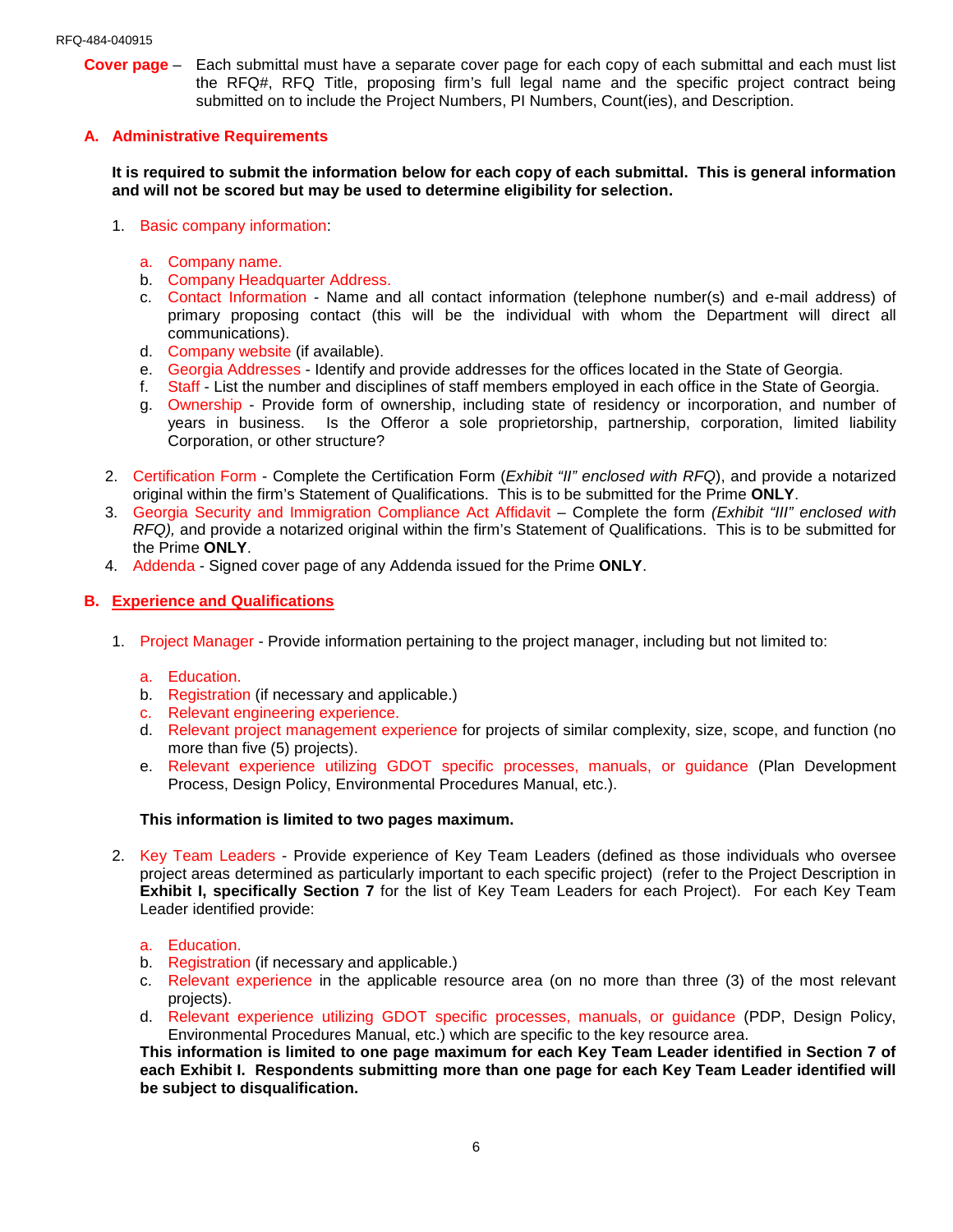**Cover page** – Each submittal must have a separate cover page for each copy of each submittal and each must list the RFQ#, RFQ Title, proposing firm's full legal name and the specific project contract being submitted on to include the Project Numbers, PI Numbers, Count(ies), and Description.

#### **A. Administrative Requirements**

**It is required to submit the information below for each copy of each submittal. This is general information and will not be scored but may be used to determine eligibility for selection.**

- 1. Basic company information:
	- a. Company name.
	- b. Company Headquarter Address.
	- c. Contact Information Name and all contact information (telephone number(s) and e-mail address) of primary proposing contact (this will be the individual with whom the Department will direct all communications).
	- d. Company website (if available).
	- e. Georgia Addresses Identify and provide addresses for the offices located in the State of Georgia.
	- f. Staff List the number and disciplines of staff members employed in each office in the State of Georgia.
	- g. Ownership Provide form of ownership, including state of residency or incorporation, and number of years in business. Is the Offeror a sole proprietorship, partnership, corporation, limited liability Corporation, or other structure?
- 2. Certification Form Complete the Certification Form (*Exhibit "II" enclosed with RFQ*), and provide a notarized original within the firm's Statement of Qualifications. This is to be submitted for the Prime **ONLY**.
- 3. Georgia Security and Immigration Compliance Act Affidavit Complete the form *(Exhibit "III" enclosed with RFQ),* and provide a notarized original within the firm's Statement of Qualifications. This is to be submitted for the Prime **ONLY**.
- 4. Addenda Signed cover page of any Addenda issued for the Prime **ONLY**.

#### **B. Experience and Qualifications**

- 1. Project Manager Provide information pertaining to the project manager, including but not limited to:
	- a. Education.
	- b. Registration (if necessary and applicable.)
	- c. Relevant engineering experience.
	- d. Relevant project management experience for projects of similar complexity, size, scope, and function (no more than five (5) projects).
	- e. Relevant experience utilizing GDOT specific processes, manuals, or guidance (Plan Development Process, Design Policy, Environmental Procedures Manual, etc.).

#### **This information is limited to two pages maximum.**

- 2. Key Team Leaders Provide experience of Key Team Leaders (defined as those individuals who oversee project areas determined as particularly important to each specific project) (refer to the Project Description in **Exhibit I, specifically Section 7** for the list of Key Team Leaders for each Project). For each Key Team Leader identified provide:
	- a. Education.
	- b. Registration (if necessary and applicable.)
	- c. Relevant experience in the applicable resource area (on no more than three (3) of the most relevant projects).
	- d. Relevant experience utilizing GDOT specific processes, manuals, or guidance (PDP, Design Policy, Environmental Procedures Manual, etc.) which are specific to the key resource area.

**This information is limited to one page maximum for each Key Team Leader identified in Section 7 of each Exhibit I. Respondents submitting more than one page for each Key Team Leader identified will be subject to disqualification.**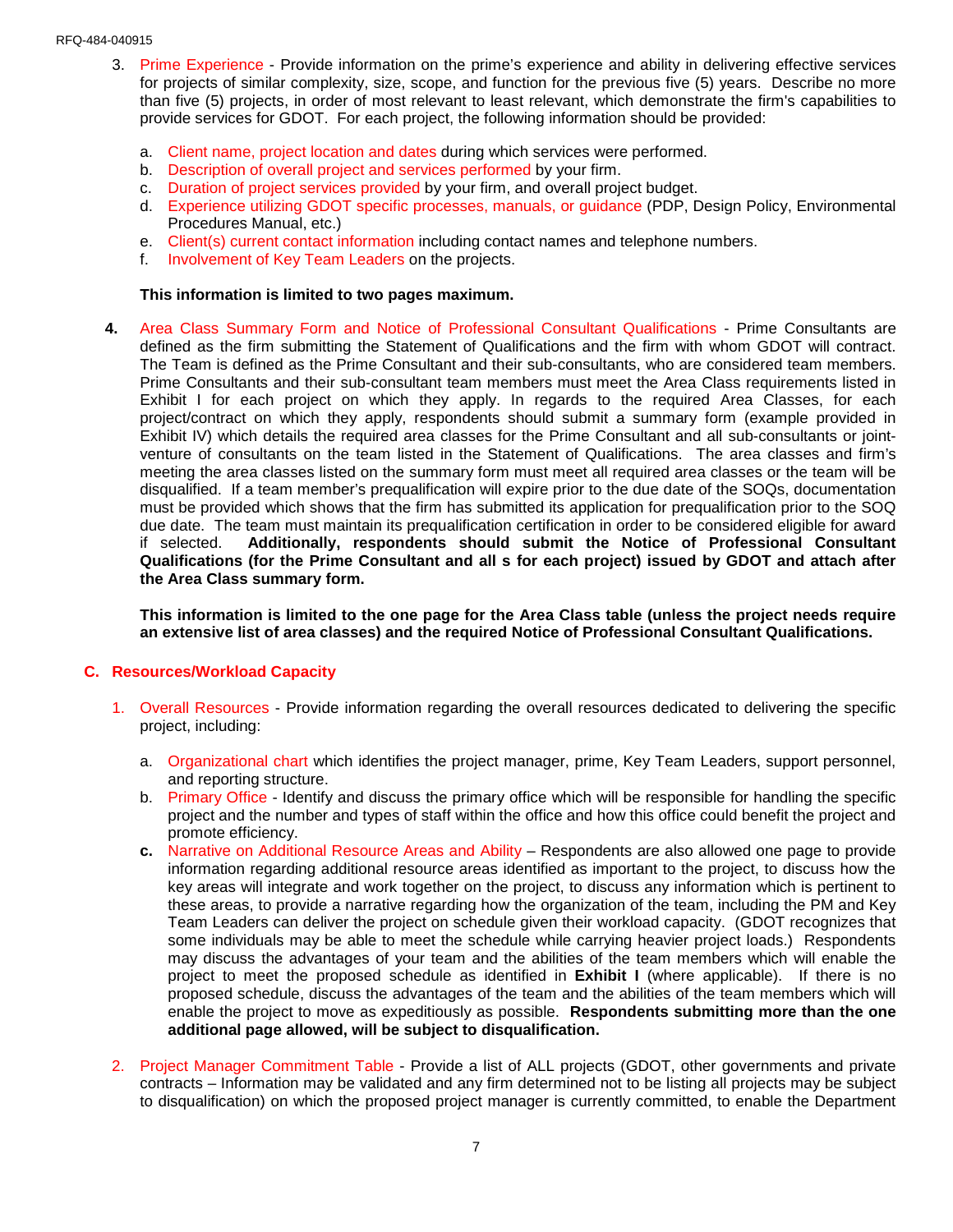#### RFQ-484-040915

- 3. Prime Experience Provide information on the prime's experience and ability in delivering effective services for projects of similar complexity, size, scope, and function for the previous five (5) years. Describe no more than five (5) projects, in order of most relevant to least relevant, which demonstrate the firm's capabilities to provide services for GDOT. For each project, the following information should be provided:
	- a. Client name, project location and dates during which services were performed.
	- b. Description of overall project and services performed by your firm.
	- c. Duration of project services provided by your firm, and overall project budget.
	- d. Experience utilizing GDOT specific processes, manuals, or guidance (PDP, Design Policy, Environmental Procedures Manual, etc.)
	- e. Client(s) current contact information including contact names and telephone numbers.
	- f. Involvement of Key Team Leaders on the projects.

#### **This information is limited to two pages maximum.**

**4.** Area Class Summary Form and Notice of Professional Consultant Qualifications - Prime Consultants are defined as the firm submitting the Statement of Qualifications and the firm with whom GDOT will contract. The Team is defined as the Prime Consultant and their sub-consultants, who are considered team members. Prime Consultants and their sub-consultant team members must meet the Area Class requirements listed in Exhibit I for each project on which they apply. In regards to the required Area Classes, for each project/contract on which they apply, respondents should submit a summary form (example provided in Exhibit IV) which details the required area classes for the Prime Consultant and all sub-consultants or jointventure of consultants on the team listed in the Statement of Qualifications. The area classes and firm's meeting the area classes listed on the summary form must meet all required area classes or the team will be disqualified. If a team member's prequalification will expire prior to the due date of the SOQs, documentation must be provided which shows that the firm has submitted its application for prequalification prior to the SOQ due date. The team must maintain its prequalification certification in order to be considered eligible for award if selected. **Additionally, respondents should submit the Notice of Professional Consultant Qualifications (for the Prime Consultant and all s for each project) issued by GDOT and attach after the Area Class summary form.**

**This information is limited to the one page for the Area Class table (unless the project needs require an extensive list of area classes) and the required Notice of Professional Consultant Qualifications.**

#### **C. Resources/Workload Capacity**

- 1. Overall Resources Provide information regarding the overall resources dedicated to delivering the specific project, including:
	- a. Organizational chart which identifies the project manager, prime, Key Team Leaders, support personnel, and reporting structure.
	- b. Primary Office Identify and discuss the primary office which will be responsible for handling the specific project and the number and types of staff within the office and how this office could benefit the project and promote efficiency.
	- **c.** Narrative on Additional Resource Areas and Ability Respondents are also allowed one page to provide information regarding additional resource areas identified as important to the project, to discuss how the key areas will integrate and work together on the project, to discuss any information which is pertinent to these areas, to provide a narrative regarding how the organization of the team, including the PM and Key Team Leaders can deliver the project on schedule given their workload capacity. (GDOT recognizes that some individuals may be able to meet the schedule while carrying heavier project loads.) Respondents may discuss the advantages of your team and the abilities of the team members which will enable the project to meet the proposed schedule as identified in **Exhibit I** (where applicable). If there is no proposed schedule, discuss the advantages of the team and the abilities of the team members which will enable the project to move as expeditiously as possible. **Respondents submitting more than the one additional page allowed, will be subject to disqualification.**
- 2. Project Manager Commitment Table Provide a list of ALL projects (GDOT, other governments and private contracts – Information may be validated and any firm determined not to be listing all projects may be subject to disqualification) on which the proposed project manager is currently committed, to enable the Department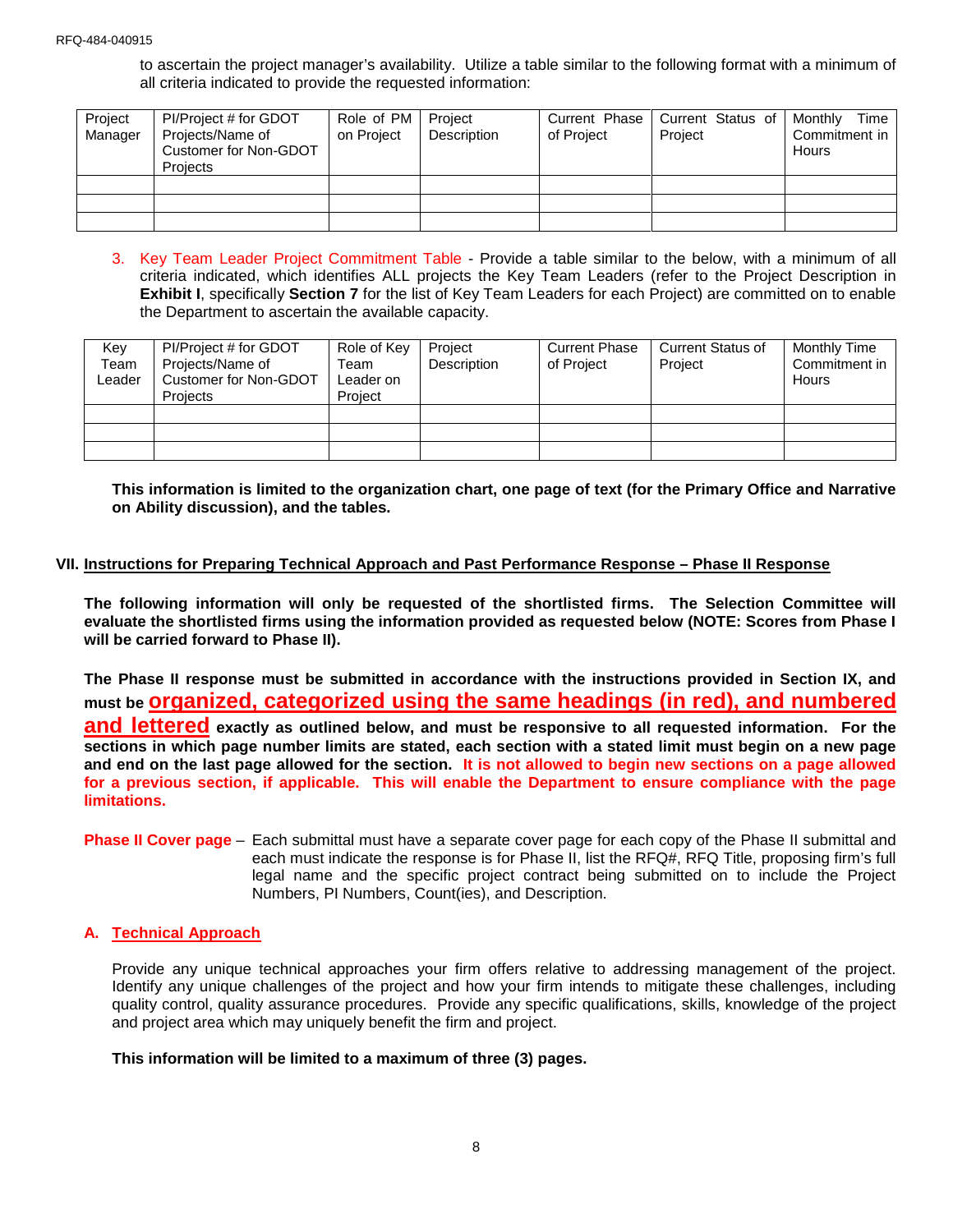to ascertain the project manager's availability. Utilize a table similar to the following format with a minimum of all criteria indicated to provide the requested information:

| Project<br>Manager | PI/Project # for GDOT<br>Projects/Name of<br>Customer for Non-GDOT<br>Projects | Role of PM   Project<br>on Project | Description | Current Phase<br>of Project | Current Status of<br>Project | Time<br>Monthly<br>Commitment in<br>Hours |
|--------------------|--------------------------------------------------------------------------------|------------------------------------|-------------|-----------------------------|------------------------------|-------------------------------------------|
|                    |                                                                                |                                    |             |                             |                              |                                           |
|                    |                                                                                |                                    |             |                             |                              |                                           |
|                    |                                                                                |                                    |             |                             |                              |                                           |

3. Key Team Leader Project Commitment Table - Provide a table similar to the below, with a minimum of all criteria indicated, which identifies ALL projects the Key Team Leaders (refer to the Project Description in **Exhibit I**, specifically **Section 7** for the list of Key Team Leaders for each Project) are committed on to enable the Department to ascertain the available capacity.

| Key<br>Team<br>∟eader | PI/Project # for GDOT<br>Projects/Name of<br>Customer for Non-GDOT<br>Projects | Role of Key<br>Team<br>Leader on<br>Project | Project<br>Description | <b>Current Phase</b><br>of Project | <b>Current Status of</b><br>Project | Monthly Time<br>Commitment in<br><b>Hours</b> |
|-----------------------|--------------------------------------------------------------------------------|---------------------------------------------|------------------------|------------------------------------|-------------------------------------|-----------------------------------------------|
|                       |                                                                                |                                             |                        |                                    |                                     |                                               |
|                       |                                                                                |                                             |                        |                                    |                                     |                                               |
|                       |                                                                                |                                             |                        |                                    |                                     |                                               |

**This information is limited to the organization chart, one page of text (for the Primary Office and Narrative on Ability discussion), and the tables.**

## **VII. Instructions for Preparing Technical Approach and Past Performance Response – Phase II Response**

**The following information will only be requested of the shortlisted firms. The Selection Committee will evaluate the shortlisted firms using the information provided as requested below (NOTE: Scores from Phase I will be carried forward to Phase II).** 

**The Phase II response must be submitted in accordance with the instructions provided in Section IX, and must be organized, categorized using the same headings (in red), and numbered and lettered exactly as outlined below, and must be responsive to all requested information. For the sections in which page number limits are stated, each section with a stated limit must begin on a new page and end on the last page allowed for the section. It is not allowed to begin new sections on a page allowed for a previous section, if applicable. This will enable the Department to ensure compliance with the page limitations.**

**Phase II Cover page** – Each submittal must have a separate cover page for each copy of the Phase II submittal and each must indicate the response is for Phase II, list the RFQ#, RFQ Title, proposing firm's full legal name and the specific project contract being submitted on to include the Project Numbers, PI Numbers, Count(ies), and Description.

## **A. Technical Approach**

Provide any unique technical approaches your firm offers relative to addressing management of the project. Identify any unique challenges of the project and how your firm intends to mitigate these challenges, including quality control, quality assurance procedures. Provide any specific qualifications, skills, knowledge of the project and project area which may uniquely benefit the firm and project.

#### **This information will be limited to a maximum of three (3) pages.**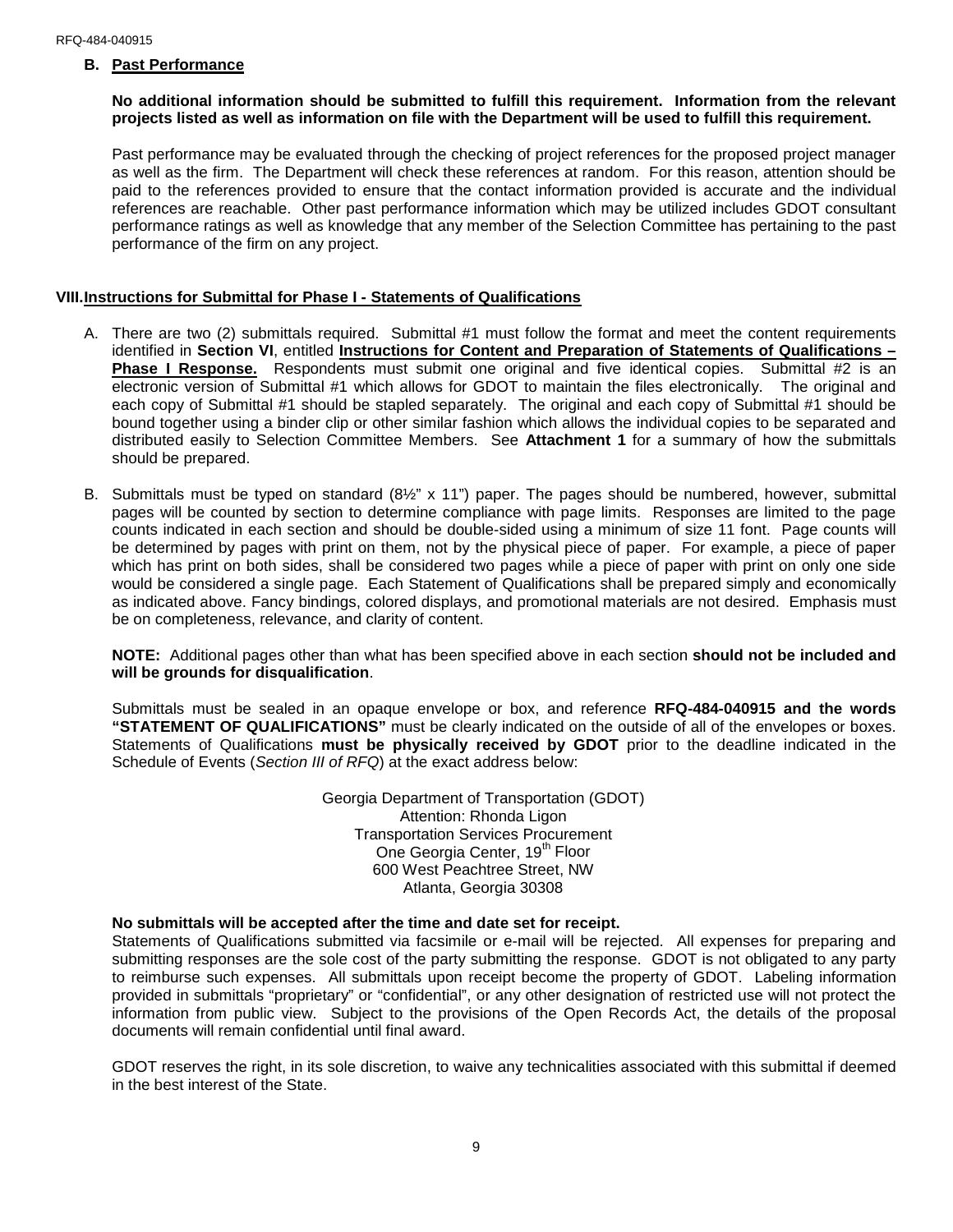#### **B. Past Performance**

#### **No additional information should be submitted to fulfill this requirement. Information from the relevant projects listed as well as information on file with the Department will be used to fulfill this requirement.**

Past performance may be evaluated through the checking of project references for the proposed project manager as well as the firm. The Department will check these references at random. For this reason, attention should be paid to the references provided to ensure that the contact information provided is accurate and the individual references are reachable. Other past performance information which may be utilized includes GDOT consultant performance ratings as well as knowledge that any member of the Selection Committee has pertaining to the past performance of the firm on any project.

#### **VIII.Instructions for Submittal for Phase I - Statements of Qualifications**

- A. There are two (2) submittals required. Submittal #1 must follow the format and meet the content requirements identified in **Section VI**, entitled **Instructions for Content and Preparation of Statements of Qualifications –** Phase I Response. Respondents must submit one original and five identical copies. Submittal #2 is an electronic version of Submittal #1 which allows for GDOT to maintain the files electronically. The original and each copy of Submittal #1 should be stapled separately. The original and each copy of Submittal #1 should be bound together using a binder clip or other similar fashion which allows the individual copies to be separated and distributed easily to Selection Committee Members. See **Attachment 1** for a summary of how the submittals should be prepared.
- B. Submittals must be typed on standard (8½" x 11") paper. The pages should be numbered, however, submittal pages will be counted by section to determine compliance with page limits. Responses are limited to the page counts indicated in each section and should be double-sided using a minimum of size 11 font. Page counts will be determined by pages with print on them, not by the physical piece of paper. For example, a piece of paper which has print on both sides, shall be considered two pages while a piece of paper with print on only one side would be considered a single page. Each Statement of Qualifications shall be prepared simply and economically as indicated above. Fancy bindings, colored displays, and promotional materials are not desired. Emphasis must be on completeness, relevance, and clarity of content.

**NOTE:** Additional pages other than what has been specified above in each section **should not be included and will be grounds for disqualification**.

Submittals must be sealed in an opaque envelope or box, and reference **RFQ-484-040915 and the words "STATEMENT OF QUALIFICATIONS"** must be clearly indicated on the outside of all of the envelopes or boxes. Statements of Qualifications **must be physically received by GDOT** prior to the deadline indicated in the Schedule of Events (*Section III of RFQ*) at the exact address below:

> Georgia Department of Transportation (GDOT) Attention: Rhonda Ligon Transportation Services Procurement One Georgia Center, 19<sup>th</sup> Floor 600 West Peachtree Street, NW Atlanta, Georgia 30308

#### **No submittals will be accepted after the time and date set for receipt.**

Statements of Qualifications submitted via facsimile or e-mail will be rejected. All expenses for preparing and submitting responses are the sole cost of the party submitting the response. GDOT is not obligated to any party to reimburse such expenses. All submittals upon receipt become the property of GDOT. Labeling information provided in submittals "proprietary" or "confidential", or any other designation of restricted use will not protect the information from public view. Subject to the provisions of the Open Records Act, the details of the proposal documents will remain confidential until final award.

GDOT reserves the right, in its sole discretion, to waive any technicalities associated with this submittal if deemed in the best interest of the State.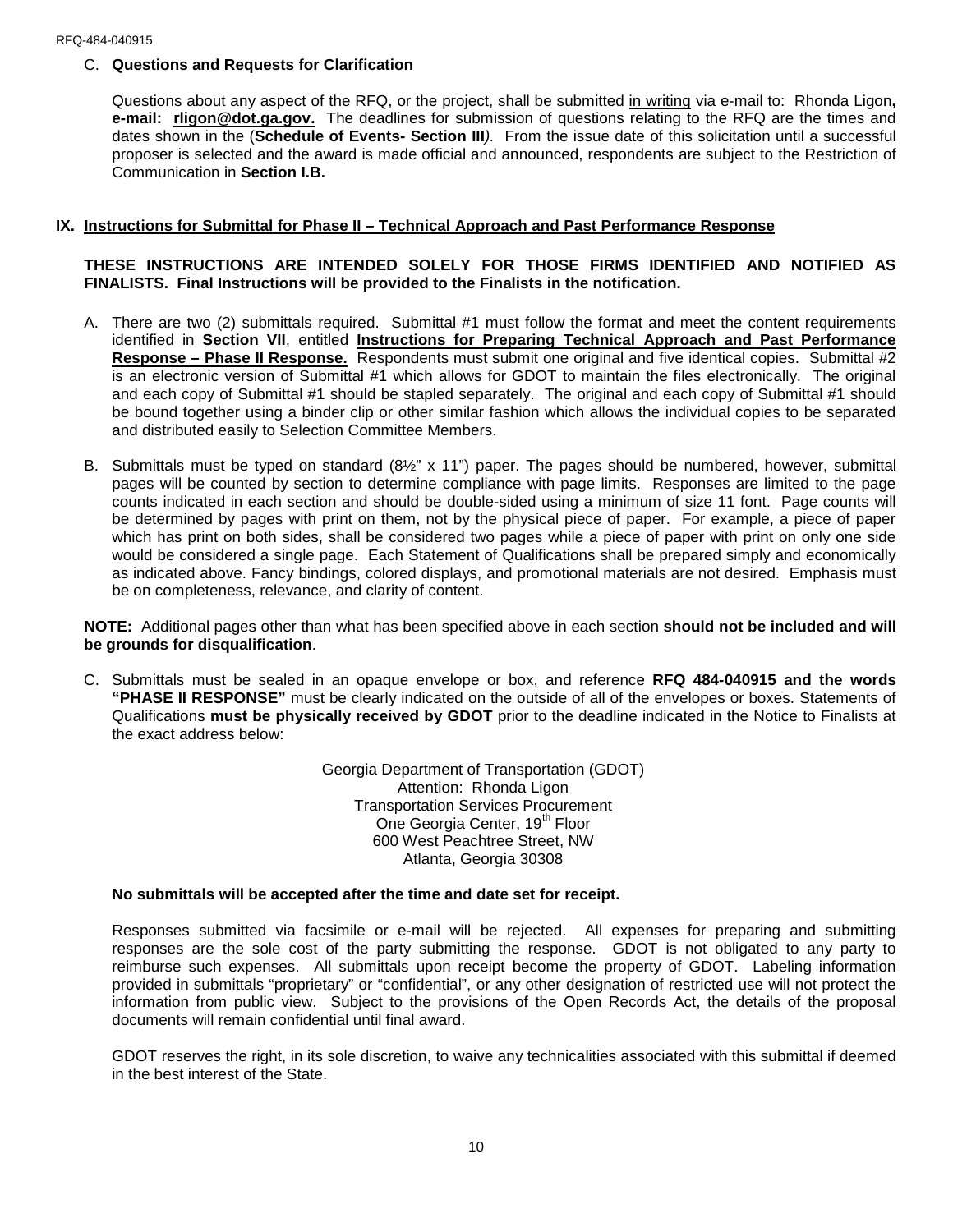#### C. **Questions and Requests for Clarification**

Questions about any aspect of the RFQ, or the project, shall be submitted in writing via e-mail to: Rhonda Ligon**, e-mail: rligon@dot.ga.gov.** The deadlines for submission of questions relating to the RFQ are the times and dates shown in the (**Schedule of Events- Section III***).* From the issue date of this solicitation until a successful proposer is selected and the award is made official and announced, respondents are subject to the Restriction of Communication in **Section I.B.**

#### **IX. Instructions for Submittal for Phase II – Technical Approach and Past Performance Response**

## **THESE INSTRUCTIONS ARE INTENDED SOLELY FOR THOSE FIRMS IDENTIFIED AND NOTIFIED AS FINALISTS. Final Instructions will be provided to the Finalists in the notification.**

- A. There are two (2) submittals required. Submittal #1 must follow the format and meet the content requirements identified in **Section VII**, entitled **Instructions for Preparing Technical Approach and Past Performance Response – Phase II Response.** Respondents must submit one original and five identical copies. Submittal #2 is an electronic version of Submittal #1 which allows for GDOT to maintain the files electronically. The original and each copy of Submittal #1 should be stapled separately. The original and each copy of Submittal #1 should be bound together using a binder clip or other similar fashion which allows the individual copies to be separated and distributed easily to Selection Committee Members.
- B. Submittals must be typed on standard (8½" x 11") paper. The pages should be numbered, however, submittal pages will be counted by section to determine compliance with page limits. Responses are limited to the page counts indicated in each section and should be double-sided using a minimum of size 11 font. Page counts will be determined by pages with print on them, not by the physical piece of paper. For example, a piece of paper which has print on both sides, shall be considered two pages while a piece of paper with print on only one side would be considered a single page. Each Statement of Qualifications shall be prepared simply and economically as indicated above. Fancy bindings, colored displays, and promotional materials are not desired. Emphasis must be on completeness, relevance, and clarity of content.

**NOTE:** Additional pages other than what has been specified above in each section **should not be included and will be grounds for disqualification**.

C. Submittals must be sealed in an opaque envelope or box, and reference **RFQ 484-040915 and the words "PHASE II RESPONSE"** must be clearly indicated on the outside of all of the envelopes or boxes. Statements of Qualifications **must be physically received by GDOT** prior to the deadline indicated in the Notice to Finalists at the exact address below:

> Georgia Department of Transportation (GDOT) Attention: Rhonda Ligon Transportation Services Procurement One Georgia Center, 19<sup>th</sup> Floor 600 West Peachtree Street, NW Atlanta, Georgia 30308

#### **No submittals will be accepted after the time and date set for receipt.**

Responses submitted via facsimile or e-mail will be rejected. All expenses for preparing and submitting responses are the sole cost of the party submitting the response. GDOT is not obligated to any party to reimburse such expenses. All submittals upon receipt become the property of GDOT. Labeling information provided in submittals "proprietary" or "confidential", or any other designation of restricted use will not protect the information from public view. Subject to the provisions of the Open Records Act, the details of the proposal documents will remain confidential until final award.

GDOT reserves the right, in its sole discretion, to waive any technicalities associated with this submittal if deemed in the best interest of the State.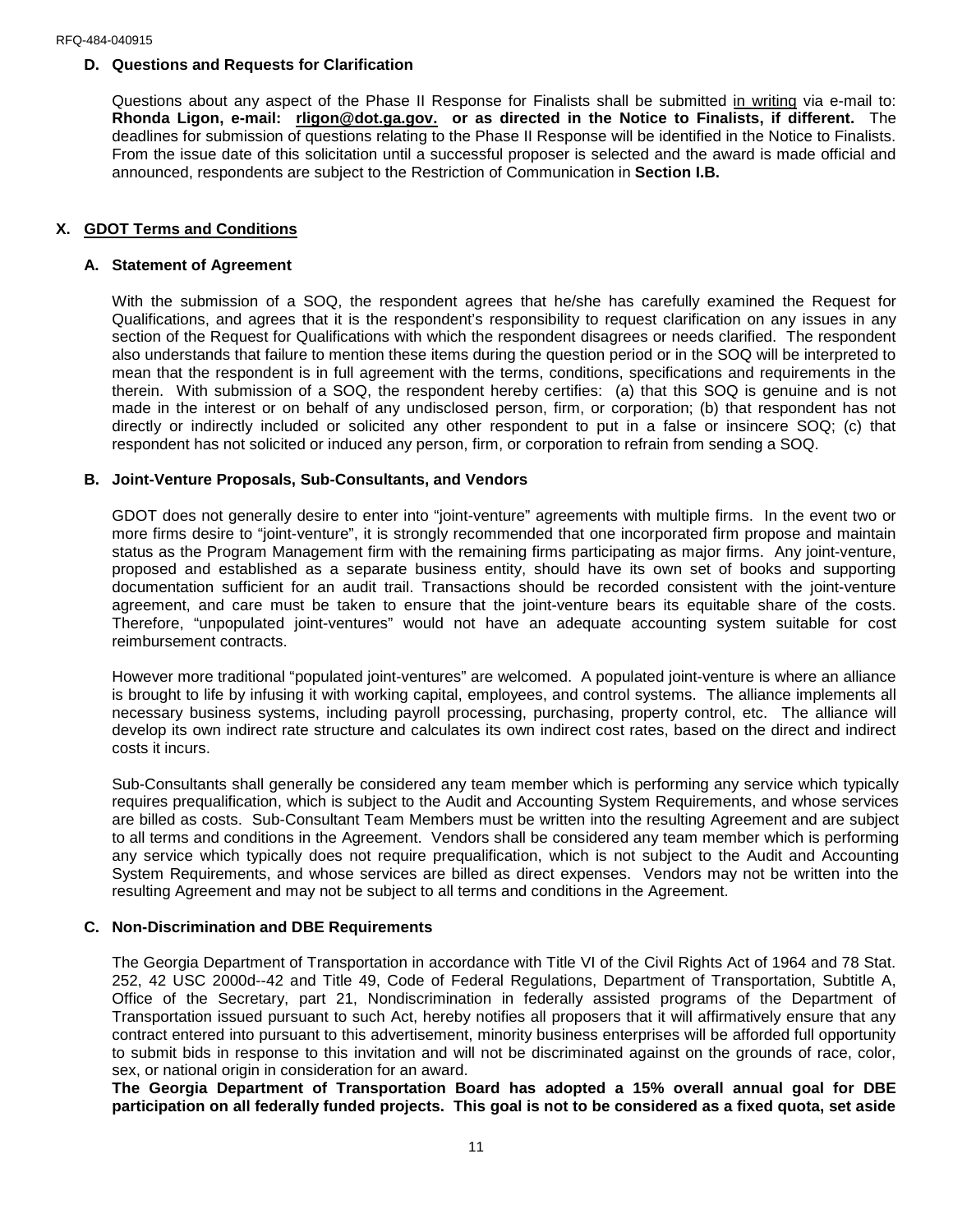#### **D. Questions and Requests for Clarification**

Questions about any aspect of the Phase II Response for Finalists shall be submitted in writing via e-mail to: **Rhonda Ligon, e-mail: rligon@dot.ga.gov. or as directed in the Notice to Finalists, if different.** The deadlines for submission of questions relating to the Phase II Response will be identified in the Notice to Finalists. From the issue date of this solicitation until a successful proposer is selected and the award is made official and announced, respondents are subject to the Restriction of Communication in **Section I.B.**

#### **X. GDOT Terms and Conditions**

#### **A. Statement of Agreement**

With the submission of a SOQ, the respondent agrees that he/she has carefully examined the Request for Qualifications, and agrees that it is the respondent's responsibility to request clarification on any issues in any section of the Request for Qualifications with which the respondent disagrees or needs clarified. The respondent also understands that failure to mention these items during the question period or in the SOQ will be interpreted to mean that the respondent is in full agreement with the terms, conditions, specifications and requirements in the therein. With submission of a SOQ, the respondent hereby certifies: (a) that this SOQ is genuine and is not made in the interest or on behalf of any undisclosed person, firm, or corporation; (b) that respondent has not directly or indirectly included or solicited any other respondent to put in a false or insincere SOQ; (c) that respondent has not solicited or induced any person, firm, or corporation to refrain from sending a SOQ.

#### **B. Joint-Venture Proposals, Sub-Consultants, and Vendors**

GDOT does not generally desire to enter into "joint-venture" agreements with multiple firms. In the event two or more firms desire to "joint-venture", it is strongly recommended that one incorporated firm propose and maintain status as the Program Management firm with the remaining firms participating as major firms. Any joint-venture, proposed and established as a separate business entity, should have its own set of books and supporting documentation sufficient for an audit trail. Transactions should be recorded consistent with the joint-venture agreement, and care must be taken to ensure that the joint-venture bears its equitable share of the costs. Therefore, "unpopulated joint-ventures" would not have an adequate accounting system suitable for cost reimbursement contracts.

However more traditional "populated joint-ventures" are welcomed. A populated joint-venture is where an alliance is brought to life by infusing it with working capital, employees, and control systems. The alliance implements all necessary business systems, including payroll processing, purchasing, property control, etc. The alliance will develop its own indirect rate structure and calculates its own indirect cost rates, based on the direct and indirect costs it incurs.

Sub-Consultants shall generally be considered any team member which is performing any service which typically requires prequalification, which is subject to the Audit and Accounting System Requirements, and whose services are billed as costs. Sub-Consultant Team Members must be written into the resulting Agreement and are subject to all terms and conditions in the Agreement. Vendors shall be considered any team member which is performing any service which typically does not require prequalification, which is not subject to the Audit and Accounting System Requirements, and whose services are billed as direct expenses. Vendors may not be written into the resulting Agreement and may not be subject to all terms and conditions in the Agreement.

#### **C. Non-Discrimination and DBE Requirements**

The Georgia Department of Transportation in accordance with Title VI of the Civil Rights Act of 1964 and 78 Stat. 252, 42 USC 2000d--42 and Title 49, Code of Federal Regulations, Department of Transportation, Subtitle A, Office of the Secretary, part 21, Nondiscrimination in federally assisted programs of the Department of Transportation issued pursuant to such Act, hereby notifies all proposers that it will affirmatively ensure that any contract entered into pursuant to this advertisement, minority business enterprises will be afforded full opportunity to submit bids in response to this invitation and will not be discriminated against on the grounds of race, color, sex, or national origin in consideration for an award.

**The Georgia Department of Transportation Board has adopted a 15% overall annual goal for DBE participation on all federally funded projects. This goal is not to be considered as a fixed quota, set aside**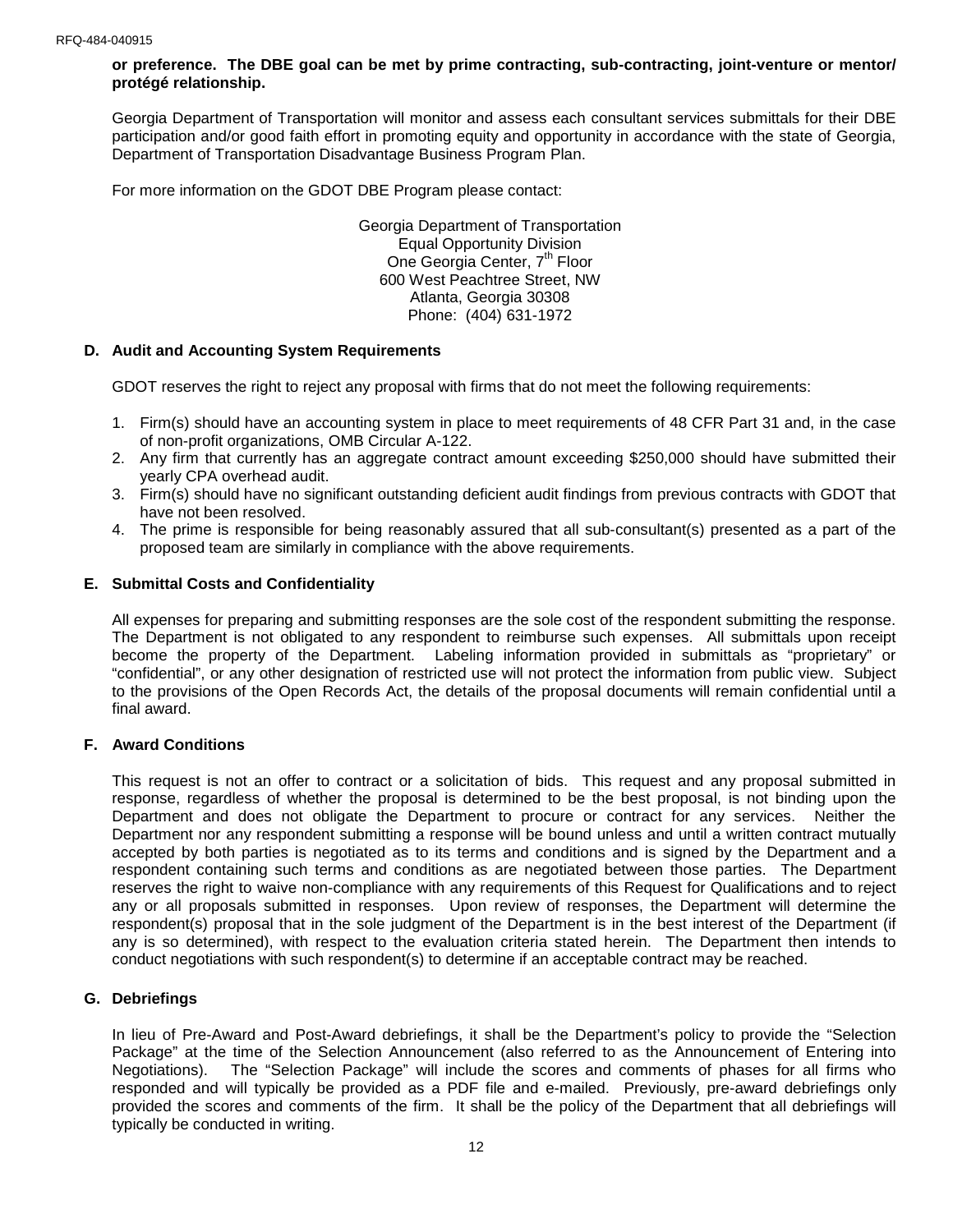**or preference. The DBE goal can be met by prime contracting, sub-contracting, joint-venture or mentor/ protégé relationship.**

Georgia Department of Transportation will monitor and assess each consultant services submittals for their DBE participation and/or good faith effort in promoting equity and opportunity in accordance with the state of Georgia, Department of Transportation Disadvantage Business Program Plan.

For more information on the GDOT DBE Program please contact:

Georgia Department of Transportation Equal Opportunity Division One Georgia Center, 7<sup>th</sup> Floor 600 West Peachtree Street, NW Atlanta, Georgia 30308 Phone: (404) 631-1972

## **D. Audit and Accounting System Requirements**

GDOT reserves the right to reject any proposal with firms that do not meet the following requirements:

- 1. Firm(s) should have an accounting system in place to meet requirements of 48 CFR Part 31 and, in the case of non-profit organizations, OMB Circular A-122.
- 2. Any firm that currently has an aggregate contract amount exceeding \$250,000 should have submitted their yearly CPA overhead audit.
- 3. Firm(s) should have no significant outstanding deficient audit findings from previous contracts with GDOT that have not been resolved.
- 4. The prime is responsible for being reasonably assured that all sub-consultant(s) presented as a part of the proposed team are similarly in compliance with the above requirements.

## **E. Submittal Costs and Confidentiality**

All expenses for preparing and submitting responses are the sole cost of the respondent submitting the response. The Department is not obligated to any respondent to reimburse such expenses. All submittals upon receipt become the property of the Department. Labeling information provided in submittals as "proprietary" or "confidential", or any other designation of restricted use will not protect the information from public view. Subject to the provisions of the Open Records Act, the details of the proposal documents will remain confidential until a final award.

### **F. Award Conditions**

This request is not an offer to contract or a solicitation of bids. This request and any proposal submitted in response, regardless of whether the proposal is determined to be the best proposal, is not binding upon the Department and does not obligate the Department to procure or contract for any services. Neither the Department nor any respondent submitting a response will be bound unless and until a written contract mutually accepted by both parties is negotiated as to its terms and conditions and is signed by the Department and a respondent containing such terms and conditions as are negotiated between those parties. The Department reserves the right to waive non-compliance with any requirements of this Request for Qualifications and to reject any or all proposals submitted in responses. Upon review of responses, the Department will determine the respondent(s) proposal that in the sole judgment of the Department is in the best interest of the Department (if any is so determined), with respect to the evaluation criteria stated herein. The Department then intends to conduct negotiations with such respondent(s) to determine if an acceptable contract may be reached.

## **G. Debriefings**

In lieu of Pre-Award and Post-Award debriefings, it shall be the Department's policy to provide the "Selection Package" at the time of the Selection Announcement (also referred to as the Announcement of Entering into Negotiations). The "Selection Package" will include the scores and comments of phases for all firms who responded and will typically be provided as a PDF file and e-mailed. Previously, pre-award debriefings only provided the scores and comments of the firm. It shall be the policy of the Department that all debriefings will typically be conducted in writing.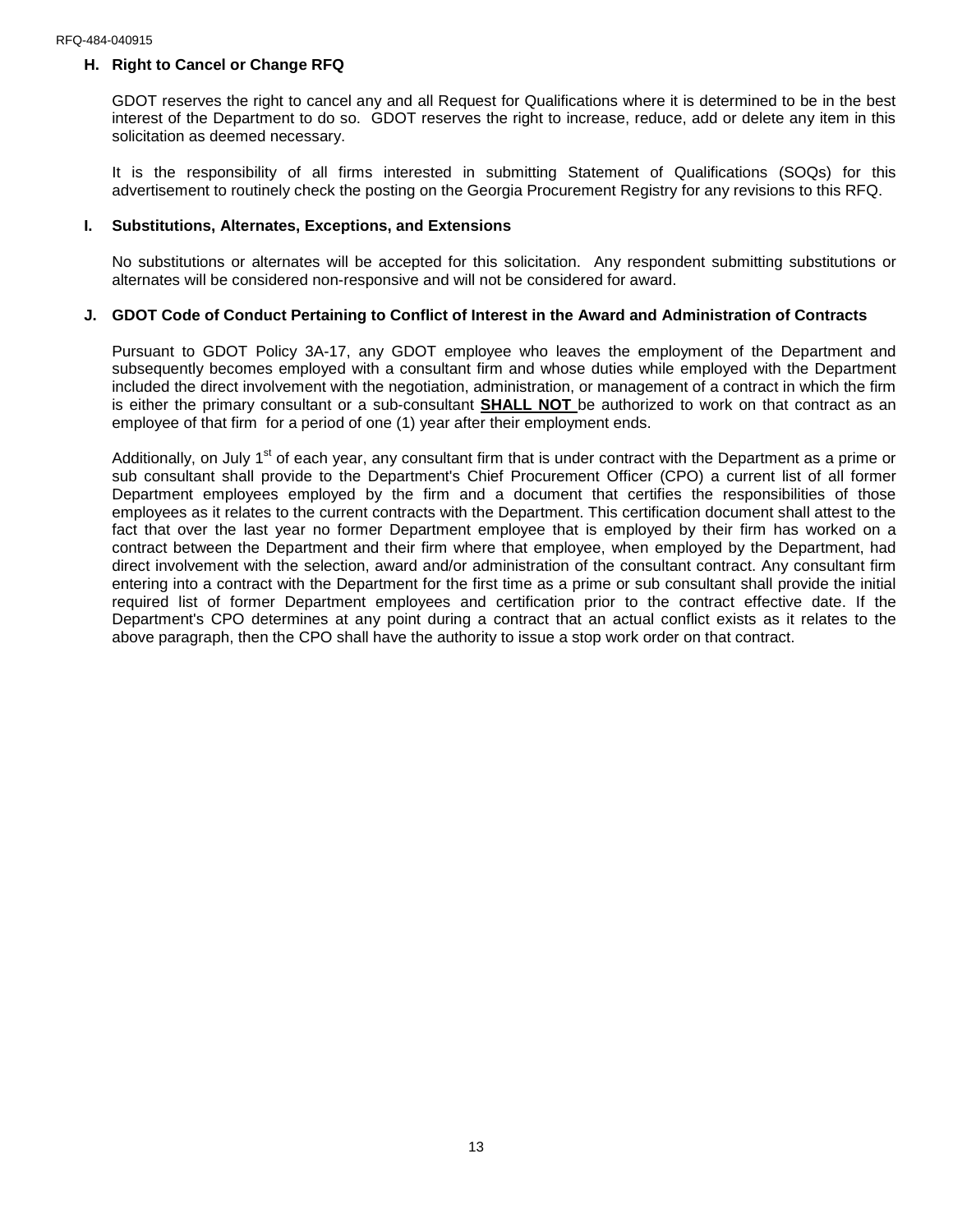## **H. Right to Cancel or Change RFQ**

GDOT reserves the right to cancel any and all Request for Qualifications where it is determined to be in the best interest of the Department to do so. GDOT reserves the right to increase, reduce, add or delete any item in this solicitation as deemed necessary.

It is the responsibility of all firms interested in submitting Statement of Qualifications (SOQs) for this advertisement to routinely check the posting on the Georgia Procurement Registry for any revisions to this RFQ.

#### **I. Substitutions, Alternates, Exceptions, and Extensions**

No substitutions or alternates will be accepted for this solicitation. Any respondent submitting substitutions or alternates will be considered non-responsive and will not be considered for award.

#### **J. GDOT Code of Conduct Pertaining to Conflict of Interest in the Award and Administration of Contracts**

Pursuant to GDOT Policy 3A-17, any GDOT employee who leaves the employment of the Department and subsequently becomes employed with a consultant firm and whose duties while employed with the Department included the direct involvement with the negotiation, administration, or management of a contract in which the firm is either the primary consultant or a sub-consultant **SHALL NOT** be authorized to work on that contract as an employee of that firm for a period of one (1) year after their employment ends.

Additionally, on July 1<sup>st</sup> of each year, any consultant firm that is under contract with the Department as a prime or sub consultant shall provide to the Department's Chief Procurement Officer (CPO) a current list of all former Department employees employed by the firm and a document that certifies the responsibilities of those employees as it relates to the current contracts with the Department. This certification document shall attest to the fact that over the last year no former Department employee that is employed by their firm has worked on a contract between the Department and their firm where that employee, when employed by the Department, had direct involvement with the selection, award and/or administration of the consultant contract. Any consultant firm entering into a contract with the Department for the first time as a prime or sub consultant shall provide the initial required list of former Department employees and certification prior to the contract effective date. If the Department's CPO determines at any point during a contract that an actual conflict exists as it relates to the above paragraph, then the CPO shall have the authority to issue a stop work order on that contract.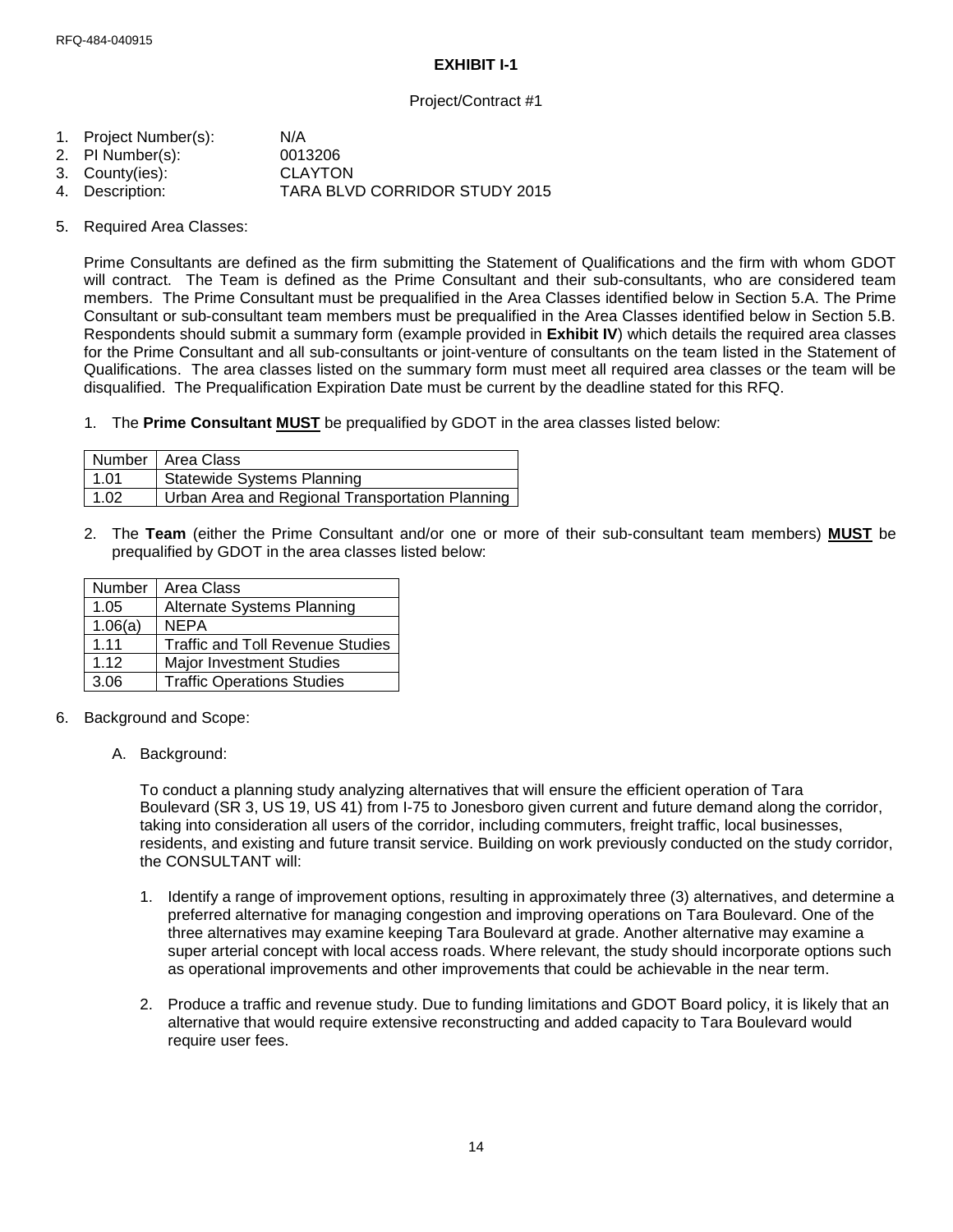## **EXHIBIT I-1**

## Project/Contract #1

- 1. Project Number(s): N/A
- 2. PI Number(s): 0013206
- 
- 3. County(ies): CLAYTON<br>4. Description: TARA BLV TARA BLVD CORRIDOR STUDY 2015
- 5. Required Area Classes:

Prime Consultants are defined as the firm submitting the Statement of Qualifications and the firm with whom GDOT will contract. The Team is defined as the Prime Consultant and their sub-consultants, who are considered team members. The Prime Consultant must be prequalified in the Area Classes identified below in Section 5.A. The Prime Consultant or sub-consultant team members must be prequalified in the Area Classes identified below in Section 5.B. Respondents should submit a summary form (example provided in **Exhibit IV**) which details the required area classes for the Prime Consultant and all sub-consultants or joint-venture of consultants on the team listed in the Statement of Qualifications. The area classes listed on the summary form must meet all required area classes or the team will be disqualified. The Prequalification Expiration Date must be current by the deadline stated for this RFQ.

1. The **Prime Consultant MUST** be prequalified by GDOT in the area classes listed below:

|      | Number   Area Class                             |
|------|-------------------------------------------------|
| 1.01 | <b>Statewide Systems Planning</b>               |
| 1.02 | Urban Area and Regional Transportation Planning |

2. The **Team** (either the Prime Consultant and/or one or more of their sub-consultant team members) **MUST** be prequalified by GDOT in the area classes listed below:

| Number  | Area Class                              |
|---------|-----------------------------------------|
| 1.05    | <b>Alternate Systems Planning</b>       |
| 1.06(a) | <b>NEPA</b>                             |
| 1.11    | <b>Traffic and Toll Revenue Studies</b> |
| 1.12    | <b>Major Investment Studies</b>         |
| 3.06    | <b>Traffic Operations Studies</b>       |

- 6. Background and Scope:
	- A. Background:

To conduct a planning study analyzing alternatives that will ensure the efficient operation of Tara Boulevard (SR 3, US 19, US 41) from I-75 to Jonesboro given current and future demand along the corridor, taking into consideration all users of the corridor, including commuters, freight traffic, local businesses, residents, and existing and future transit service. Building on work previously conducted on the study corridor, the CONSULTANT will:

- 1. Identify a range of improvement options, resulting in approximately three (3) alternatives, and determine a preferred alternative for managing congestion and improving operations on Tara Boulevard. One of the three alternatives may examine keeping Tara Boulevard at grade. Another alternative may examine a super arterial concept with local access roads. Where relevant, the study should incorporate options such as operational improvements and other improvements that could be achievable in the near term.
- 2. Produce a traffic and revenue study. Due to funding limitations and GDOT Board policy, it is likely that an alternative that would require extensive reconstructing and added capacity to Tara Boulevard would require user fees.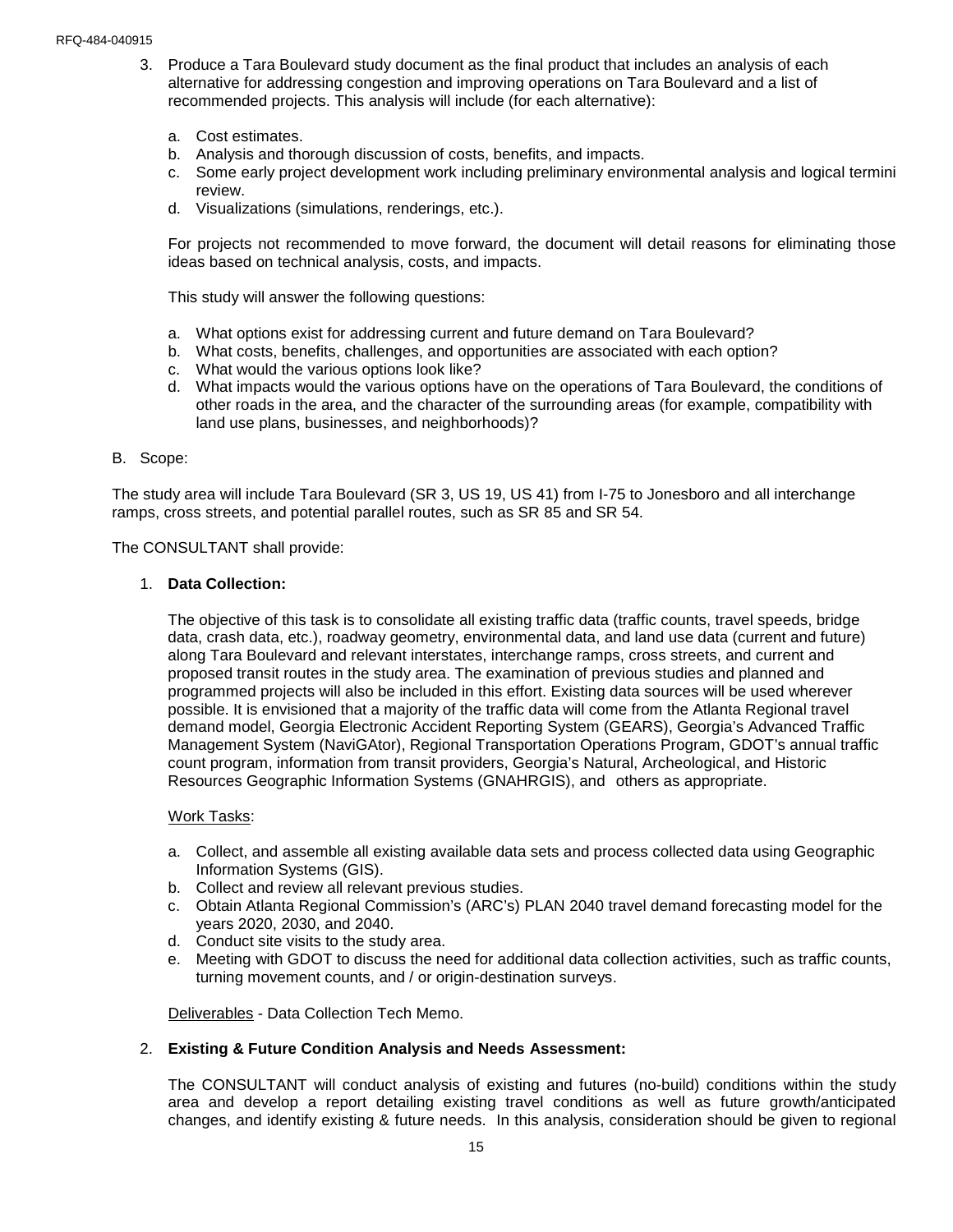- 3. Produce a Tara Boulevard study document as the final product that includes an analysis of each alternative for addressing congestion and improving operations on Tara Boulevard and a list of recommended projects. This analysis will include (for each alternative):
	- a. Cost estimates.
	- b. Analysis and thorough discussion of costs, benefits, and impacts.
	- c. Some early project development work including preliminary environmental analysis and logical termini review.
	- d. Visualizations (simulations, renderings, etc.).

For projects not recommended to move forward, the document will detail reasons for eliminating those ideas based on technical analysis, costs, and impacts.

This study will answer the following questions:

- a. What options exist for addressing current and future demand on Tara Boulevard?
- b. What costs, benefits, challenges, and opportunities are associated with each option?
- c. What would the various options look like?
- d. What impacts would the various options have on the operations of Tara Boulevard, the conditions of other roads in the area, and the character of the surrounding areas (for example, compatibility with land use plans, businesses, and neighborhoods)?

#### B. Scope:

The study area will include Tara Boulevard (SR 3, US 19, US 41) from I-75 to Jonesboro and all interchange ramps, cross streets, and potential parallel routes, such as SR 85 and SR 54.

The CONSULTANT shall provide:

#### 1. **Data Collection:**

The objective of this task is to consolidate all existing traffic data (traffic counts, travel speeds, bridge data, crash data, etc.), roadway geometry, environmental data, and land use data (current and future) along Tara Boulevard and relevant interstates, interchange ramps, cross streets, and current and proposed transit routes in the study area. The examination of previous studies and planned and programmed projects will also be included in this effort. Existing data sources will be used wherever possible. It is envisioned that a majority of the traffic data will come from the Atlanta Regional travel demand model, Georgia Electronic Accident Reporting System (GEARS), Georgia's Advanced Traffic Management System (NaviGAtor), Regional Transportation Operations Program, GDOT's annual traffic count program, information from transit providers, Georgia's Natural, Archeological, and Historic Resources Geographic Information Systems (GNAHRGIS), and others as appropriate.

#### Work Tasks:

- a. Collect, and assemble all existing available data sets and process collected data using Geographic Information Systems (GIS).
- b. Collect and review all relevant previous studies.
- c. Obtain Atlanta Regional Commission's (ARC's) PLAN 2040 travel demand forecasting model for the years 2020, 2030, and 2040.
- d. Conduct site visits to the study area.
- e. Meeting with GDOT to discuss the need for additional data collection activities, such as traffic counts, turning movement counts, and / or origin-destination surveys.

Deliverables - Data Collection Tech Memo.

#### 2. **Existing & Future Condition Analysis and Needs Assessment:**

The CONSULTANT will conduct analysis of existing and futures (no-build) conditions within the study area and develop a report detailing existing travel conditions as well as future growth/anticipated changes, and identify existing & future needs. In this analysis, consideration should be given to regional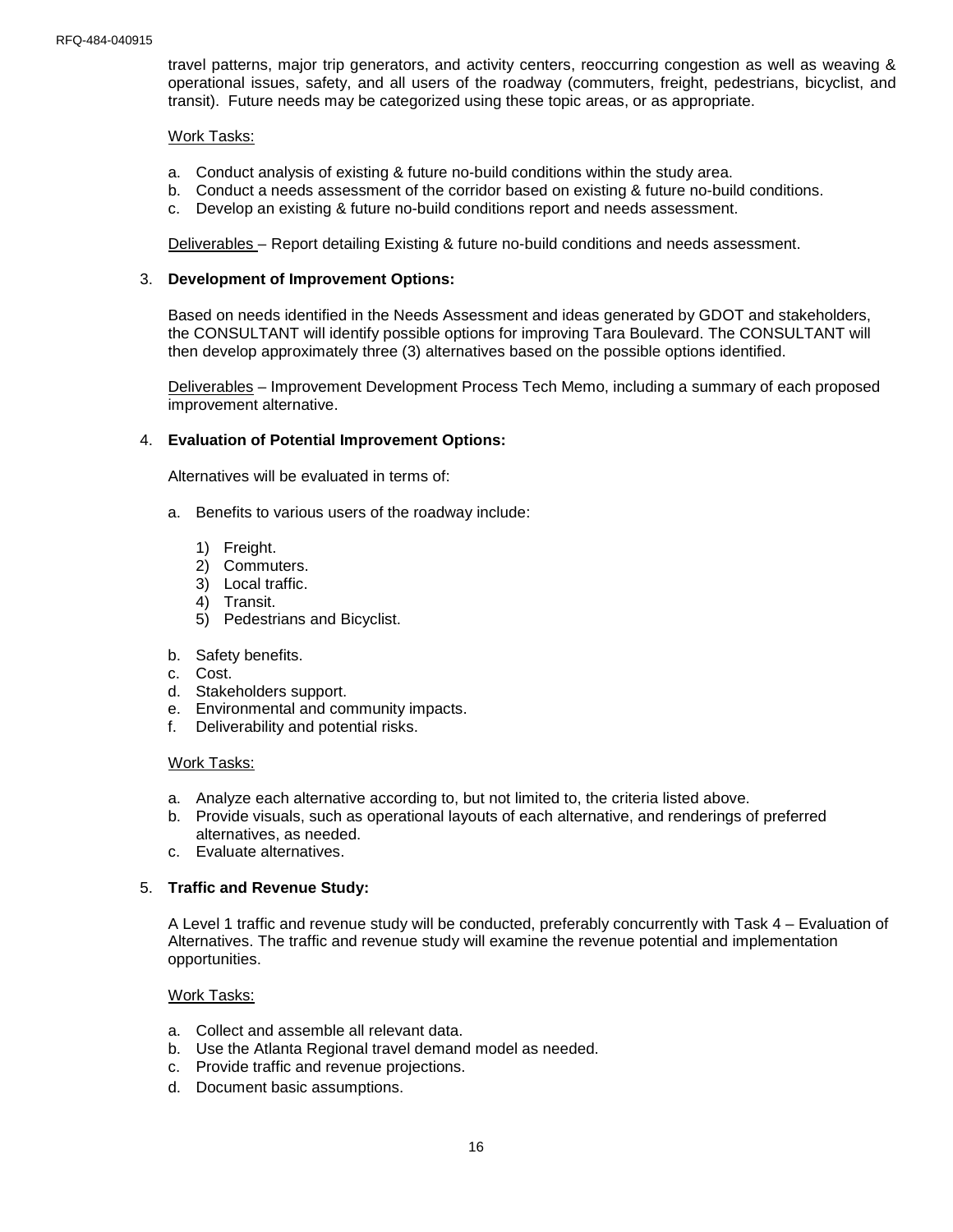travel patterns, major trip generators, and activity centers, reoccurring congestion as well as weaving & operational issues, safety, and all users of the roadway (commuters, freight, pedestrians, bicyclist, and transit). Future needs may be categorized using these topic areas, or as appropriate.

#### Work Tasks:

- a. Conduct analysis of existing & future no-build conditions within the study area.
- b. Conduct a needs assessment of the corridor based on existing & future no-build conditions.
- c. Develop an existing & future no-build conditions report and needs assessment.

Deliverables – Report detailing Existing & future no-build conditions and needs assessment.

#### 3. **Development of Improvement Options:**

Based on needs identified in the Needs Assessment and ideas generated by GDOT and stakeholders, the CONSULTANT will identify possible options for improving Tara Boulevard. The CONSULTANT will then develop approximately three (3) alternatives based on the possible options identified.

Deliverables – Improvement Development Process Tech Memo, including a summary of each proposed improvement alternative.

#### 4. **Evaluation of Potential Improvement Options:**

Alternatives will be evaluated in terms of:

- a. Benefits to various users of the roadway include:
	- 1) Freight.
	- 2) Commuters.
	- 3) Local traffic.
	- 4) Transit.
	- 5) Pedestrians and Bicyclist.
- b. Safety benefits.
- c. Cost.
- d. Stakeholders support.
- e. Environmental and community impacts.
- f. Deliverability and potential risks.

#### Work Tasks:

- a. Analyze each alternative according to, but not limited to, the criteria listed above.
- b. Provide visuals, such as operational layouts of each alternative, and renderings of preferred alternatives, as needed.
- c. Evaluate alternatives.

#### 5. **Traffic and Revenue Study:**

A Level 1 traffic and revenue study will be conducted, preferably concurrently with Task 4 – Evaluation of Alternatives. The traffic and revenue study will examine the revenue potential and implementation opportunities.

#### Work Tasks:

- a. Collect and assemble all relevant data.
- b. Use the Atlanta Regional travel demand model as needed.
- c. Provide traffic and revenue projections.
- d. Document basic assumptions.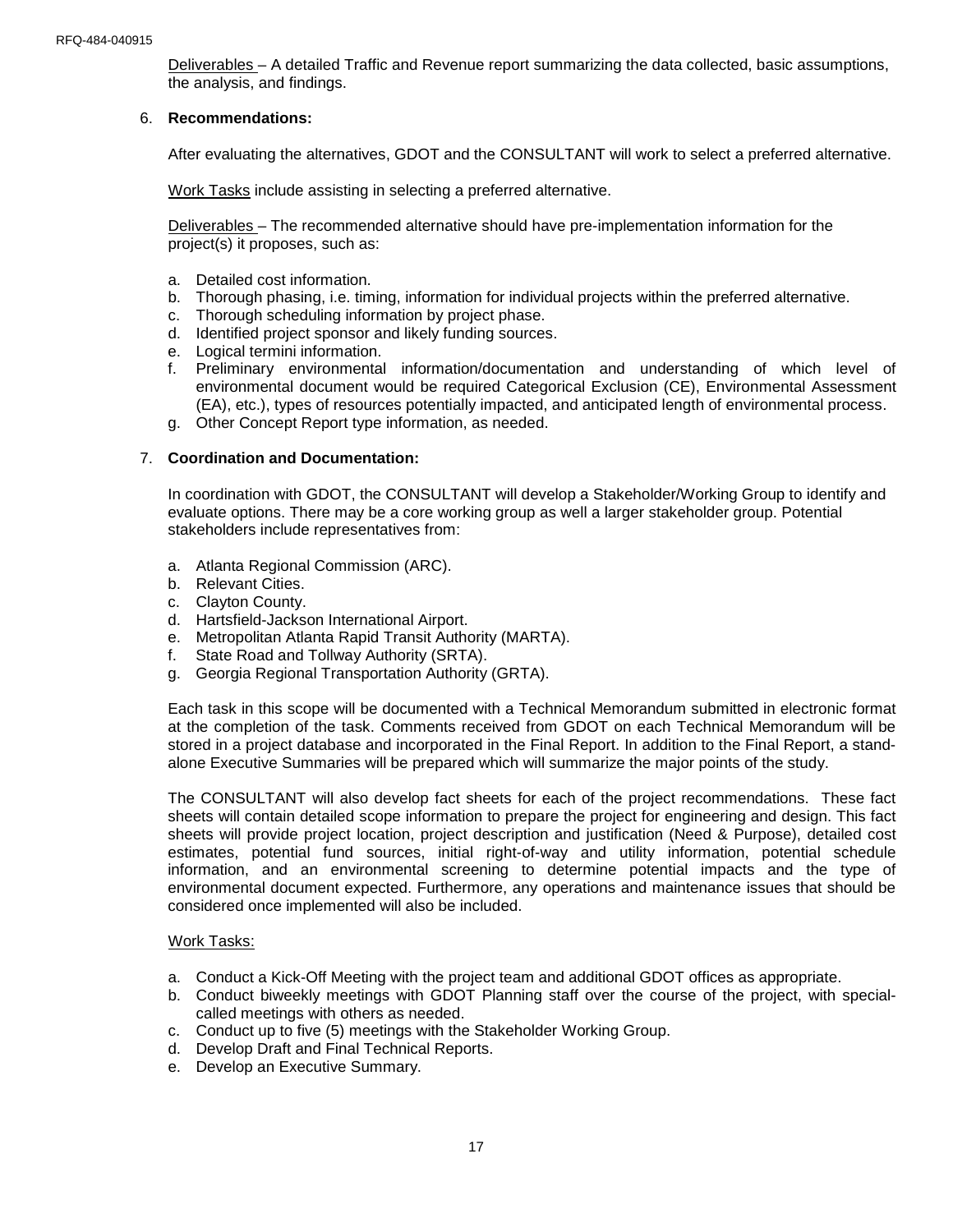Deliverables – A detailed Traffic and Revenue report summarizing the data collected, basic assumptions, the analysis, and findings.

#### 6. **Recommendations:**

After evaluating the alternatives, GDOT and the CONSULTANT will work to select a preferred alternative.

Work Tasks include assisting in selecting a preferred alternative.

Deliverables – The recommended alternative should have pre-implementation information for the project(s) it proposes, such as:

- a. Detailed cost information.
- b. Thorough phasing, i.e. timing, information for individual projects within the preferred alternative.
- c. Thorough scheduling information by project phase.
- d. Identified project sponsor and likely funding sources.
- e. Logical termini information.
- f. Preliminary environmental information/documentation and understanding of which level of environmental document would be required Categorical Exclusion (CE), Environmental Assessment (EA), etc.), types of resources potentially impacted, and anticipated length of environmental process.
- g. Other Concept Report type information, as needed.

#### 7. **Coordination and Documentation:**

In coordination with GDOT, the CONSULTANT will develop a Stakeholder/Working Group to identify and evaluate options. There may be a core working group as well a larger stakeholder group. Potential stakeholders include representatives from:

- a. Atlanta Regional Commission (ARC).
- b. Relevant Cities.
- c. Clayton County.
- d. Hartsfield-Jackson International Airport.
- e. Metropolitan Atlanta Rapid Transit Authority (MARTA).
- f. State Road and Tollway Authority (SRTA).
- g. Georgia Regional Transportation Authority (GRTA).

Each task in this scope will be documented with a Technical Memorandum submitted in electronic format at the completion of the task. Comments received from GDOT on each Technical Memorandum will be stored in a project database and incorporated in the Final Report. In addition to the Final Report, a standalone Executive Summaries will be prepared which will summarize the major points of the study.

The CONSULTANT will also develop fact sheets for each of the project recommendations. These fact sheets will contain detailed scope information to prepare the project for engineering and design. This fact sheets will provide project location, project description and justification (Need & Purpose), detailed cost estimates, potential fund sources, initial right-of-way and utility information, potential schedule information, and an environmental screening to determine potential impacts and the type of environmental document expected. Furthermore, any operations and maintenance issues that should be considered once implemented will also be included.

#### Work Tasks:

- a. Conduct a Kick-Off Meeting with the project team and additional GDOT offices as appropriate.
- b. Conduct biweekly meetings with GDOT Planning staff over the course of the project, with specialcalled meetings with others as needed.
- c. Conduct up to five (5) meetings with the Stakeholder Working Group.
- d. Develop Draft and Final Technical Reports.
- e. Develop an Executive Summary.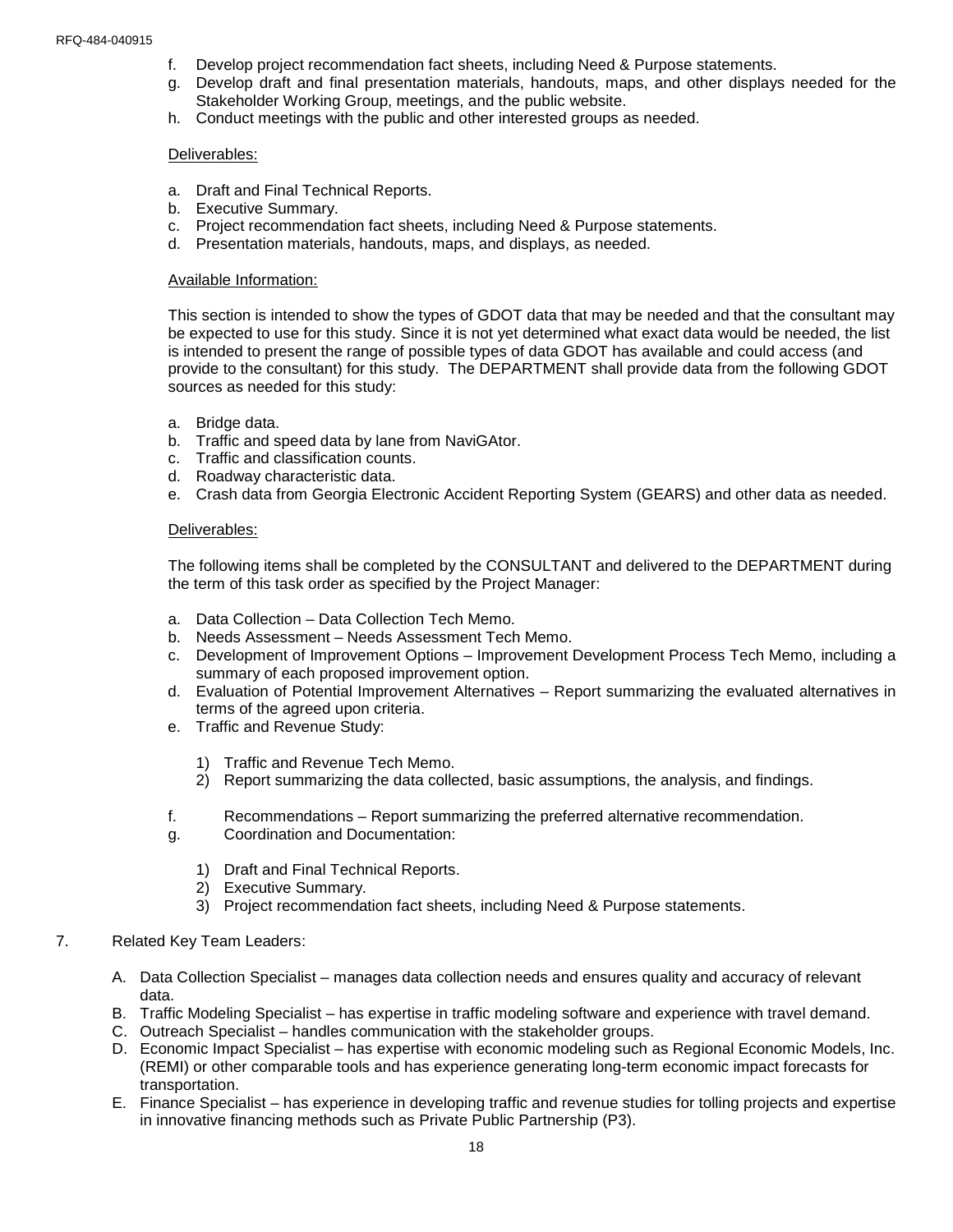- f. Develop project recommendation fact sheets, including Need & Purpose statements.
- g. Develop draft and final presentation materials, handouts, maps, and other displays needed for the Stakeholder Working Group, meetings, and the public website.
- h. Conduct meetings with the public and other interested groups as needed.

#### Deliverables:

- a. Draft and Final Technical Reports.
- b. Executive Summary.
- c. Project recommendation fact sheets, including Need & Purpose statements.
- d. Presentation materials, handouts, maps, and displays, as needed.

#### Available Information:

This section is intended to show the types of GDOT data that may be needed and that the consultant may be expected to use for this study. Since it is not yet determined what exact data would be needed, the list is intended to present the range of possible types of data GDOT has available and could access (and provide to the consultant) for this study. The DEPARTMENT shall provide data from the following GDOT sources as needed for this study:

- a. Bridge data.
- b. Traffic and speed data by lane from NaviGAtor.
- c. Traffic and classification counts.
- d. Roadway characteristic data.
- e. Crash data from Georgia Electronic Accident Reporting System (GEARS) and other data as needed.

#### Deliverables:

The following items shall be completed by the CONSULTANT and delivered to the DEPARTMENT during the term of this task order as specified by the Project Manager:

- a. Data Collection Data Collection Tech Memo.
- b. Needs Assessment Needs Assessment Tech Memo.
- c. Development of Improvement Options Improvement Development Process Tech Memo, including a summary of each proposed improvement option.
- d. Evaluation of Potential Improvement Alternatives Report summarizing the evaluated alternatives in terms of the agreed upon criteria.
- e. Traffic and Revenue Study:
	- 1) Traffic and Revenue Tech Memo.
	- 2) Report summarizing the data collected, basic assumptions, the analysis, and findings.
- f. Recommendations Report summarizing the preferred alternative recommendation.
- g. Coordination and Documentation:
	- 1) Draft and Final Technical Reports.
	- 2) Executive Summary.
	- 3) Project recommendation fact sheets, including Need & Purpose statements.

#### 7. Related Key Team Leaders:

- A. Data Collection Specialist manages data collection needs and ensures quality and accuracy of relevant data.
- B. Traffic Modeling Specialist has expertise in traffic modeling software and experience with travel demand.
- C. Outreach Specialist handles communication with the stakeholder groups.
- D. Economic Impact Specialist has expertise with economic modeling such as Regional Economic Models, Inc. (REMI) or other comparable tools and has experience generating long-term economic impact forecasts for transportation.
- E. Finance Specialist has experience in developing traffic and revenue studies for tolling projects and expertise in innovative financing methods such as Private Public Partnership (P3).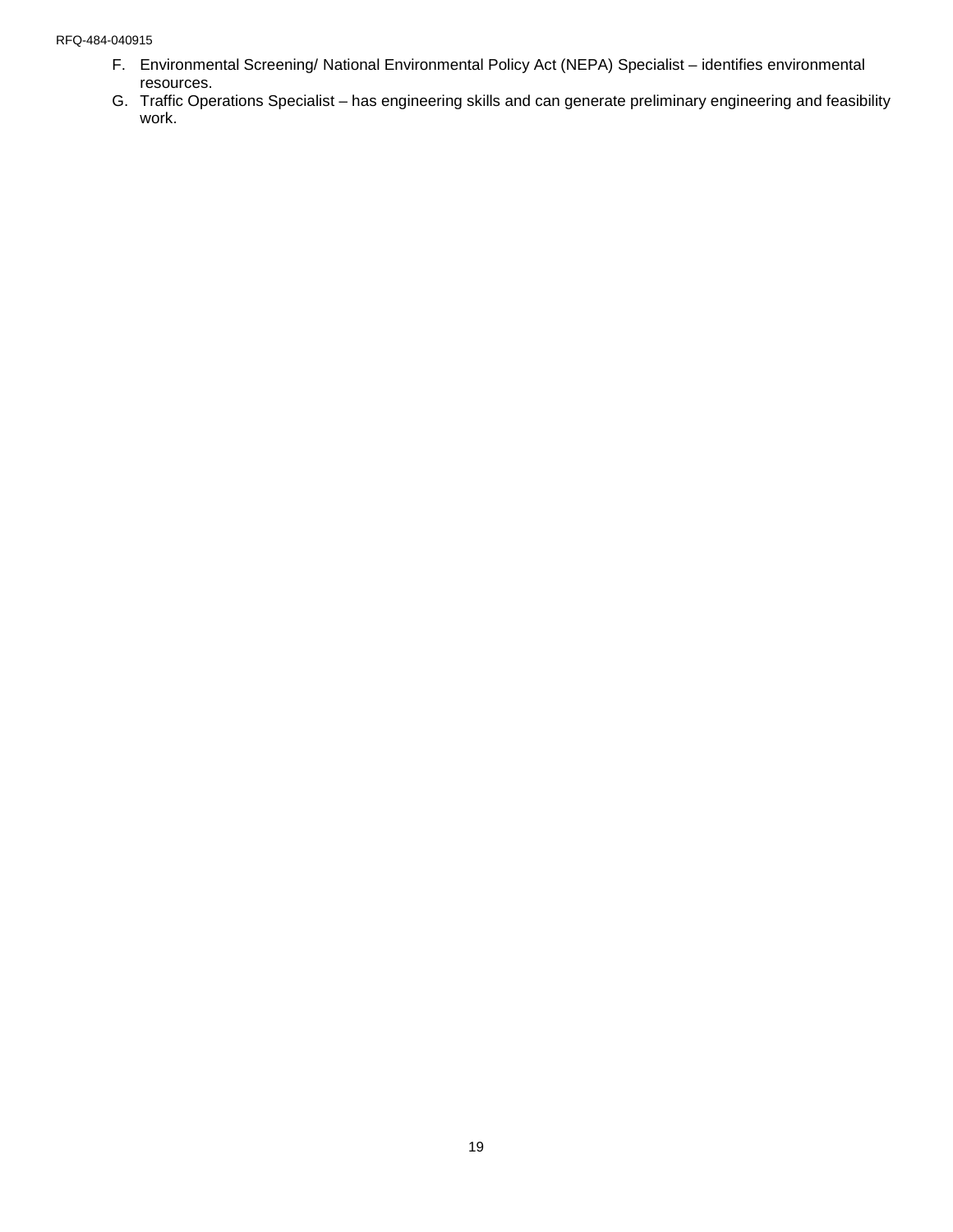#### RFQ-484-040915

- F. Environmental Screening/ National Environmental Policy Act (NEPA) Specialist identifies environmental resources.
- G. Traffic Operations Specialist has engineering skills and can generate preliminary engineering and feasibility work.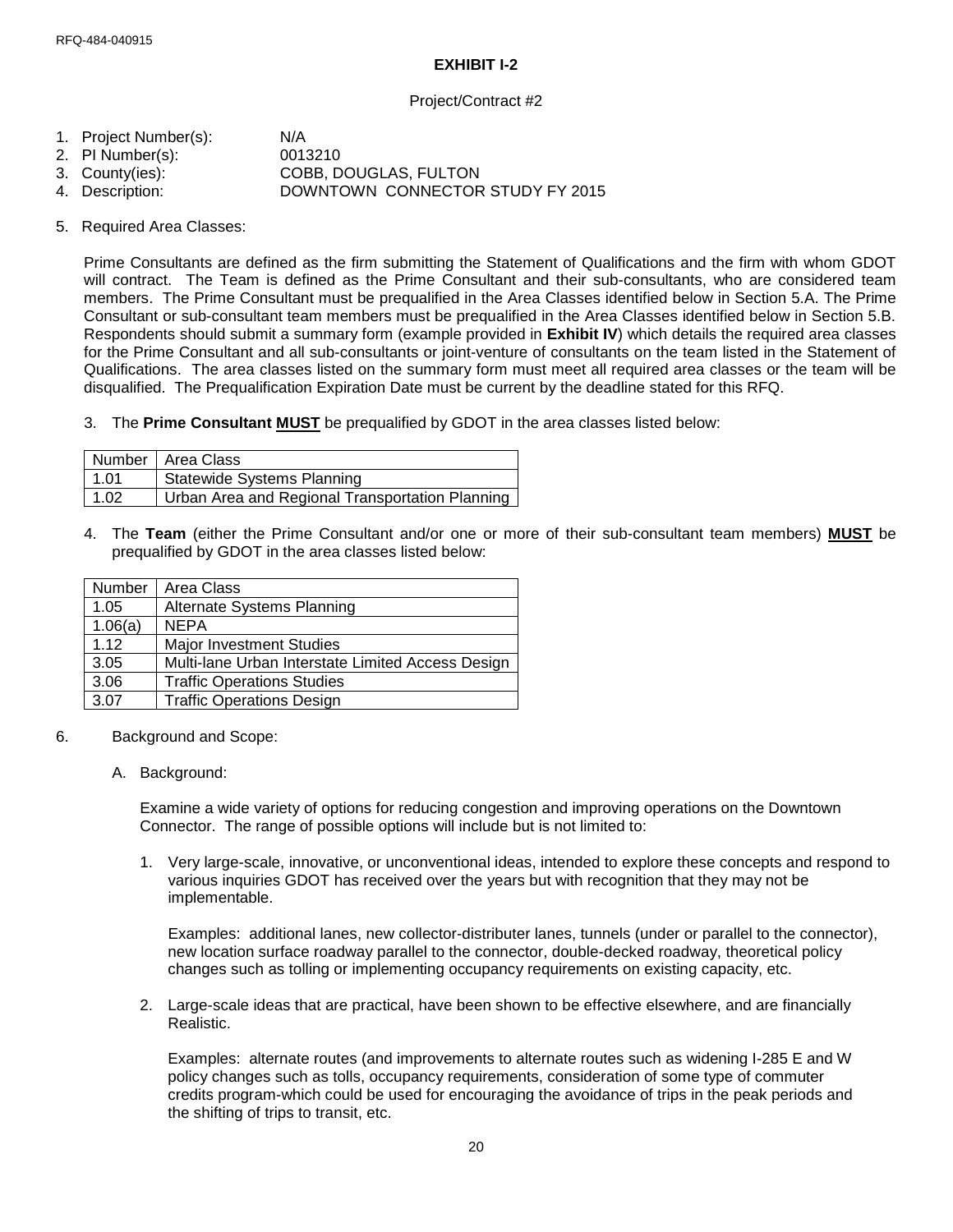## **EXHIBIT I-2**

## Project/Contract #2

- 1. Project Number(s): N/A
- 2. PI Number(s): 0013210<br>3. County(ies): COBB. D
- 
- 3. County(ies): COBB, DOUGLAS, FULTON<br>4. Description: DOWNTOWN CONNECTOR DOWNTOWN CONNECTOR STUDY FY 2015
- 5. Required Area Classes:

Prime Consultants are defined as the firm submitting the Statement of Qualifications and the firm with whom GDOT will contract. The Team is defined as the Prime Consultant and their sub-consultants, who are considered team members. The Prime Consultant must be prequalified in the Area Classes identified below in Section 5.A. The Prime Consultant or sub-consultant team members must be prequalified in the Area Classes identified below in Section 5.B. Respondents should submit a summary form (example provided in **Exhibit IV**) which details the required area classes for the Prime Consultant and all sub-consultants or joint-venture of consultants on the team listed in the Statement of Qualifications. The area classes listed on the summary form must meet all required area classes or the team will be disqualified. The Prequalification Expiration Date must be current by the deadline stated for this RFQ.

3. The **Prime Consultant MUST** be prequalified by GDOT in the area classes listed below:

|      | Number   Area Class                             |
|------|-------------------------------------------------|
| 1.01 | <b>Statewide Systems Planning</b>               |
| 1.02 | Urban Area and Regional Transportation Planning |

4. The **Team** (either the Prime Consultant and/or one or more of their sub-consultant team members) **MUST** be prequalified by GDOT in the area classes listed below:

| Number  | Area Class                                        |
|---------|---------------------------------------------------|
| 1.05    | <b>Alternate Systems Planning</b>                 |
| 1.06(a) | <b>NEPA</b>                                       |
| 1.12    | <b>Major Investment Studies</b>                   |
| 3.05    | Multi-lane Urban Interstate Limited Access Design |
| 3.06    | <b>Traffic Operations Studies</b>                 |
| 3.07    | <b>Traffic Operations Design</b>                  |

- 6. Background and Scope:
	- A. Background:

Examine a wide variety of options for reducing congestion and improving operations on the Downtown Connector. The range of possible options will include but is not limited to:

1. Very large-scale, innovative, or unconventional ideas, intended to explore these concepts and respond to various inquiries GDOT has received over the years but with recognition that they may not be implementable.

Examples: additional lanes, new collector-distributer lanes, tunnels (under or parallel to the connector), new location surface roadway parallel to the connector, double-decked roadway, theoretical policy changes such as tolling or implementing occupancy requirements on existing capacity, etc.

2. Large-scale ideas that are practical, have been shown to be effective elsewhere, and are financially Realistic.

Examples: alternate routes (and improvements to alternate routes such as widening I-285 E and W policy changes such as tolls, occupancy requirements, consideration of some type of commuter credits program-which could be used for encouraging the avoidance of trips in the peak periods and the shifting of trips to transit, etc.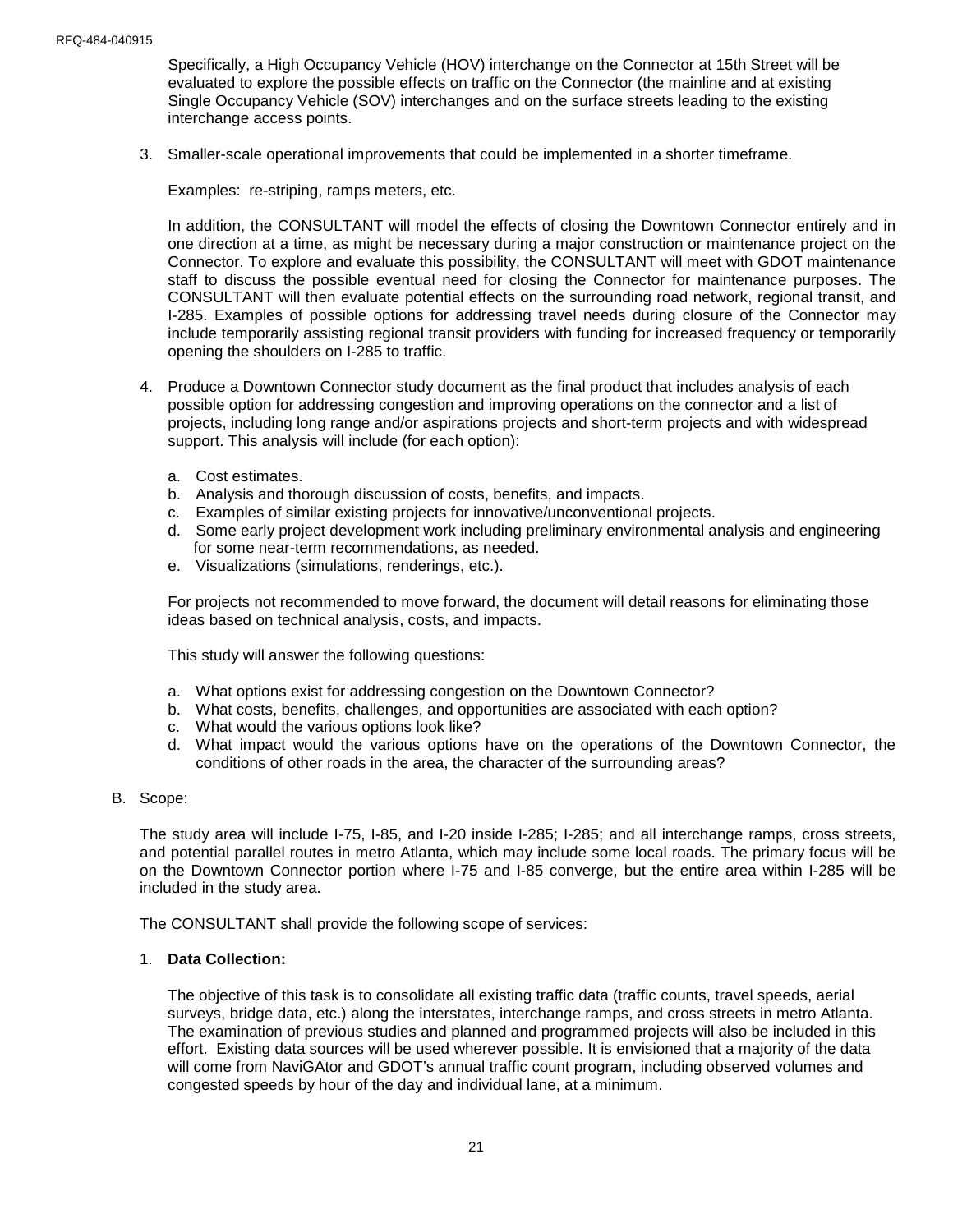Specifically, a High Occupancy Vehicle (HOV) interchange on the Connector at 15th Street will be evaluated to explore the possible effects on traffic on the Connector (the mainline and at existing Single Occupancy Vehicle (SOV) interchanges and on the surface streets leading to the existing interchange access points.

3. Smaller-scale operational improvements that could be implemented in a shorter timeframe.

Examples: re-striping, ramps meters, etc.

In addition, the CONSULTANT will model the effects of closing the Downtown Connector entirely and in one direction at a time, as might be necessary during a major construction or maintenance project on the Connector. To explore and evaluate this possibility, the CONSULTANT will meet with GDOT maintenance staff to discuss the possible eventual need for closing the Connector for maintenance purposes. The CONSULTANT will then evaluate potential effects on the surrounding road network, regional transit, and I-285. Examples of possible options for addressing travel needs during closure of the Connector may include temporarily assisting regional transit providers with funding for increased frequency or temporarily opening the shoulders on I-285 to traffic.

- 4. Produce a Downtown Connector study document as the final product that includes analysis of each possible option for addressing congestion and improving operations on the connector and a list of projects, including long range and/or aspirations projects and short-term projects and with widespread support. This analysis will include (for each option):
	- a. Cost estimates.
	- b. Analysis and thorough discussion of costs, benefits, and impacts.
	- c. Examples of similar existing projects for innovative/unconventional projects.
	- d. Some early project development work including preliminary environmental analysis and engineering for some near-term recommendations, as needed.
	- e. Visualizations (simulations, renderings, etc.).

For projects not recommended to move forward, the document will detail reasons for eliminating those ideas based on technical analysis, costs, and impacts.

This study will answer the following questions:

- a. What options exist for addressing congestion on the Downtown Connector?
- b. What costs, benefits, challenges, and opportunities are associated with each option?
- c. What would the various options look like?
- d. What impact would the various options have on the operations of the Downtown Connector, the conditions of other roads in the area, the character of the surrounding areas?
- B. Scope:

The study area will include I-75, I-85, and I-20 inside I-285; I-285; and all interchange ramps, cross streets, and potential parallel routes in metro Atlanta, which may include some local roads. The primary focus will be on the Downtown Connector portion where I-75 and I-85 converge, but the entire area within I-285 will be included in the study area.

The CONSULTANT shall provide the following scope of services:

## 1. **Data Collection:**

The objective of this task is to consolidate all existing traffic data (traffic counts, travel speeds, aerial surveys, bridge data, etc.) along the interstates, interchange ramps, and cross streets in metro Atlanta. The examination of previous studies and planned and programmed projects will also be included in this effort. Existing data sources will be used wherever possible. It is envisioned that a majority of the data will come from NaviGAtor and GDOT's annual traffic count program, including observed volumes and congested speeds by hour of the day and individual lane, at a minimum.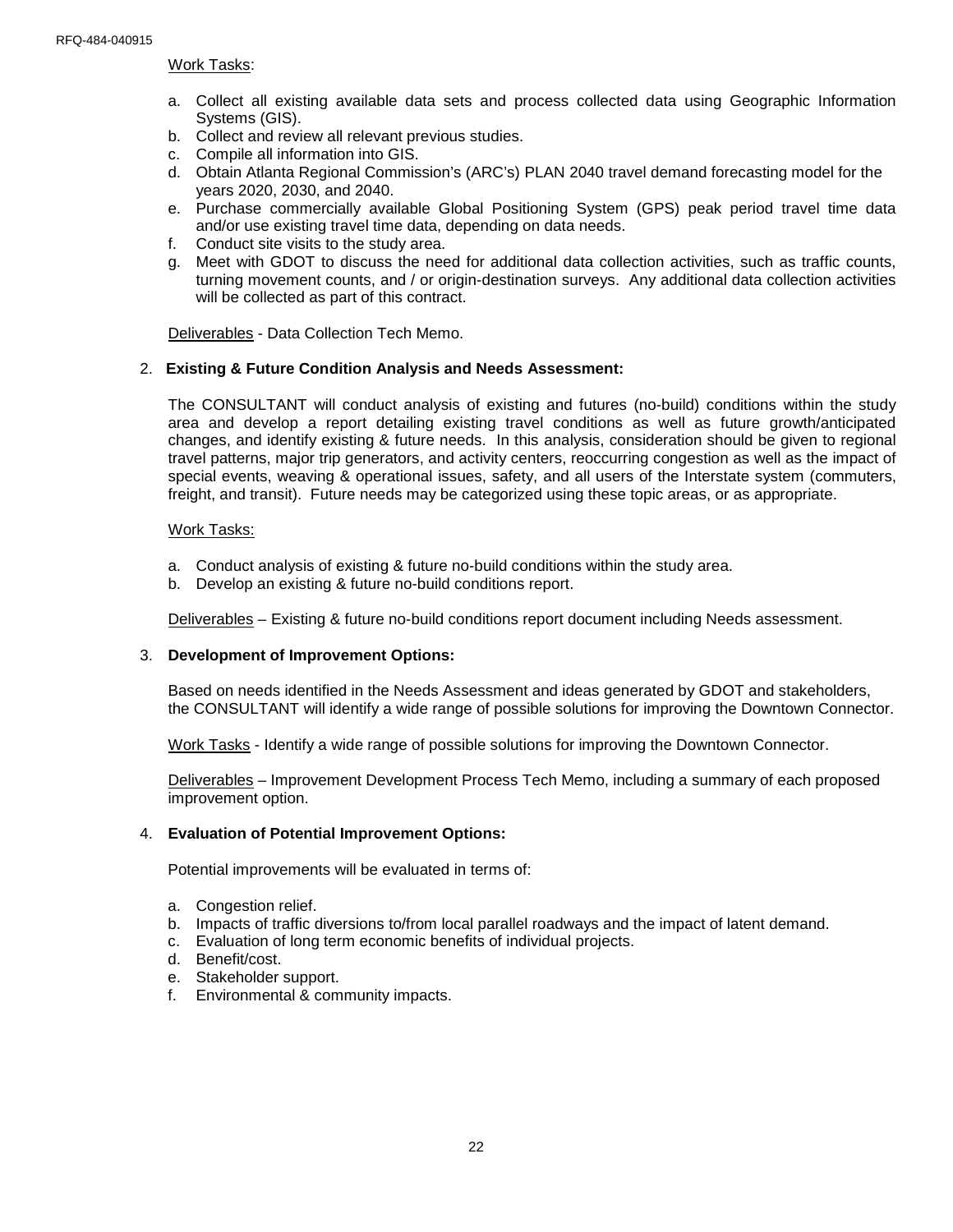#### Work Tasks:

- a. Collect all existing available data sets and process collected data using Geographic Information Systems (GIS).
- b. Collect and review all relevant previous studies.
- c. Compile all information into GIS.
- d. Obtain Atlanta Regional Commission's (ARC's) PLAN 2040 travel demand forecasting model for the years 2020, 2030, and 2040.
- e. Purchase commercially available Global Positioning System (GPS) peak period travel time data and/or use existing travel time data, depending on data needs.
- f. Conduct site visits to the study area.
- g. Meet with GDOT to discuss the need for additional data collection activities, such as traffic counts, turning movement counts, and / or origin-destination surveys. Any additional data collection activities will be collected as part of this contract.

Deliverables - Data Collection Tech Memo.

#### 2. **Existing & Future Condition Analysis and Needs Assessment:**

The CONSULTANT will conduct analysis of existing and futures (no-build) conditions within the study area and develop a report detailing existing travel conditions as well as future growth/anticipated changes, and identify existing & future needs. In this analysis, consideration should be given to regional travel patterns, major trip generators, and activity centers, reoccurring congestion as well as the impact of special events, weaving & operational issues, safety, and all users of the Interstate system (commuters, freight, and transit). Future needs may be categorized using these topic areas, or as appropriate.

#### Work Tasks:

- a. Conduct analysis of existing & future no-build conditions within the study area.
- b. Develop an existing & future no-build conditions report.

Deliverables – Existing & future no-build conditions report document including Needs assessment.

#### 3. **Development of Improvement Options:**

Based on needs identified in the Needs Assessment and ideas generated by GDOT and stakeholders, the CONSULTANT will identify a wide range of possible solutions for improving the Downtown Connector.

Work Tasks - Identify a wide range of possible solutions for improving the Downtown Connector.

Deliverables – Improvement Development Process Tech Memo, including a summary of each proposed improvement option.

#### 4. **Evaluation of Potential Improvement Options:**

Potential improvements will be evaluated in terms of:

- a. Congestion relief.
- b. Impacts of traffic diversions to/from local parallel roadways and the impact of latent demand.
- c. Evaluation of long term economic benefits of individual projects.
- d. Benefit/cost.
- e. Stakeholder support.
- f. Environmental & community impacts.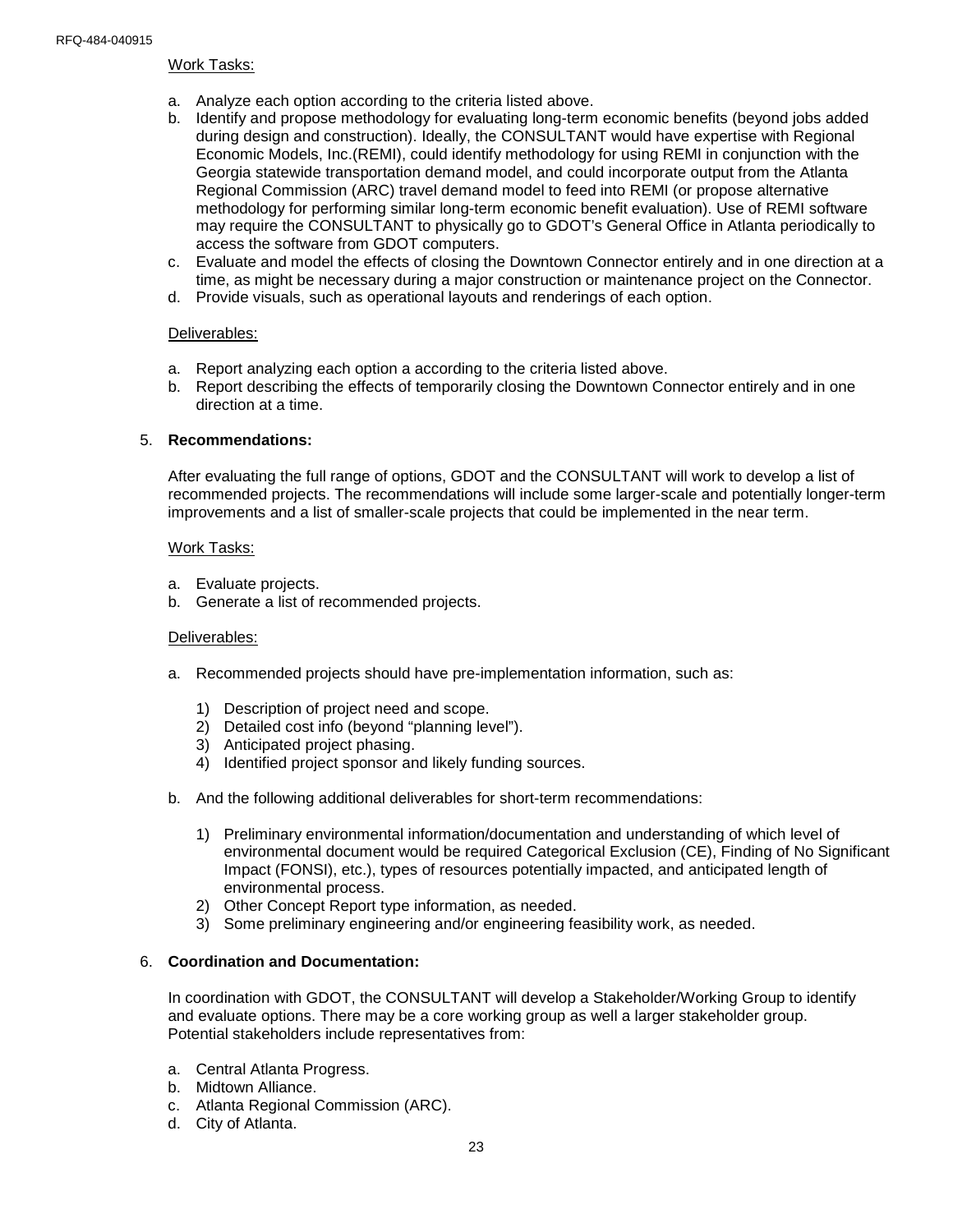#### Work Tasks:

- a. Analyze each option according to the criteria listed above.
- b. Identify and propose methodology for evaluating long-term economic benefits (beyond jobs added during design and construction). Ideally, the CONSULTANT would have expertise with Regional Economic Models, Inc.(REMI), could identify methodology for using REMI in conjunction with the Georgia statewide transportation demand model, and could incorporate output from the Atlanta Regional Commission (ARC) travel demand model to feed into REMI (or propose alternative methodology for performing similar long-term economic benefit evaluation). Use of REMI software may require the CONSULTANT to physically go to GDOT's General Office in Atlanta periodically to access the software from GDOT computers.
- c. Evaluate and model the effects of closing the Downtown Connector entirely and in one direction at a time, as might be necessary during a major construction or maintenance project on the Connector.
- d. Provide visuals, such as operational layouts and renderings of each option.

#### Deliverables:

- a. Report analyzing each option a according to the criteria listed above.
- b. Report describing the effects of temporarily closing the Downtown Connector entirely and in one direction at a time.

#### 5. **Recommendations:**

After evaluating the full range of options, GDOT and the CONSULTANT will work to develop a list of recommended projects. The recommendations will include some larger-scale and potentially longer-term improvements and a list of smaller-scale projects that could be implemented in the near term.

#### Work Tasks:

- a. Evaluate projects.
- b. Generate a list of recommended projects.

#### Deliverables:

- a. Recommended projects should have pre-implementation information, such as:
	- 1) Description of project need and scope.
	- 2) Detailed cost info (beyond "planning level").
	- 3) Anticipated project phasing.
	- 4) Identified project sponsor and likely funding sources.
- b. And the following additional deliverables for short-term recommendations:
	- 1) Preliminary environmental information/documentation and understanding of which level of environmental document would be required Categorical Exclusion (CE), Finding of No Significant Impact (FONSI), etc.), types of resources potentially impacted, and anticipated length of environmental process.
	- 2) Other Concept Report type information, as needed.
	- 3) Some preliminary engineering and/or engineering feasibility work, as needed.

#### 6. **Coordination and Documentation:**

In coordination with GDOT, the CONSULTANT will develop a Stakeholder/Working Group to identify and evaluate options. There may be a core working group as well a larger stakeholder group. Potential stakeholders include representatives from:

- a. Central Atlanta Progress.
- b. Midtown Alliance.
- c. Atlanta Regional Commission (ARC).
- d. City of Atlanta.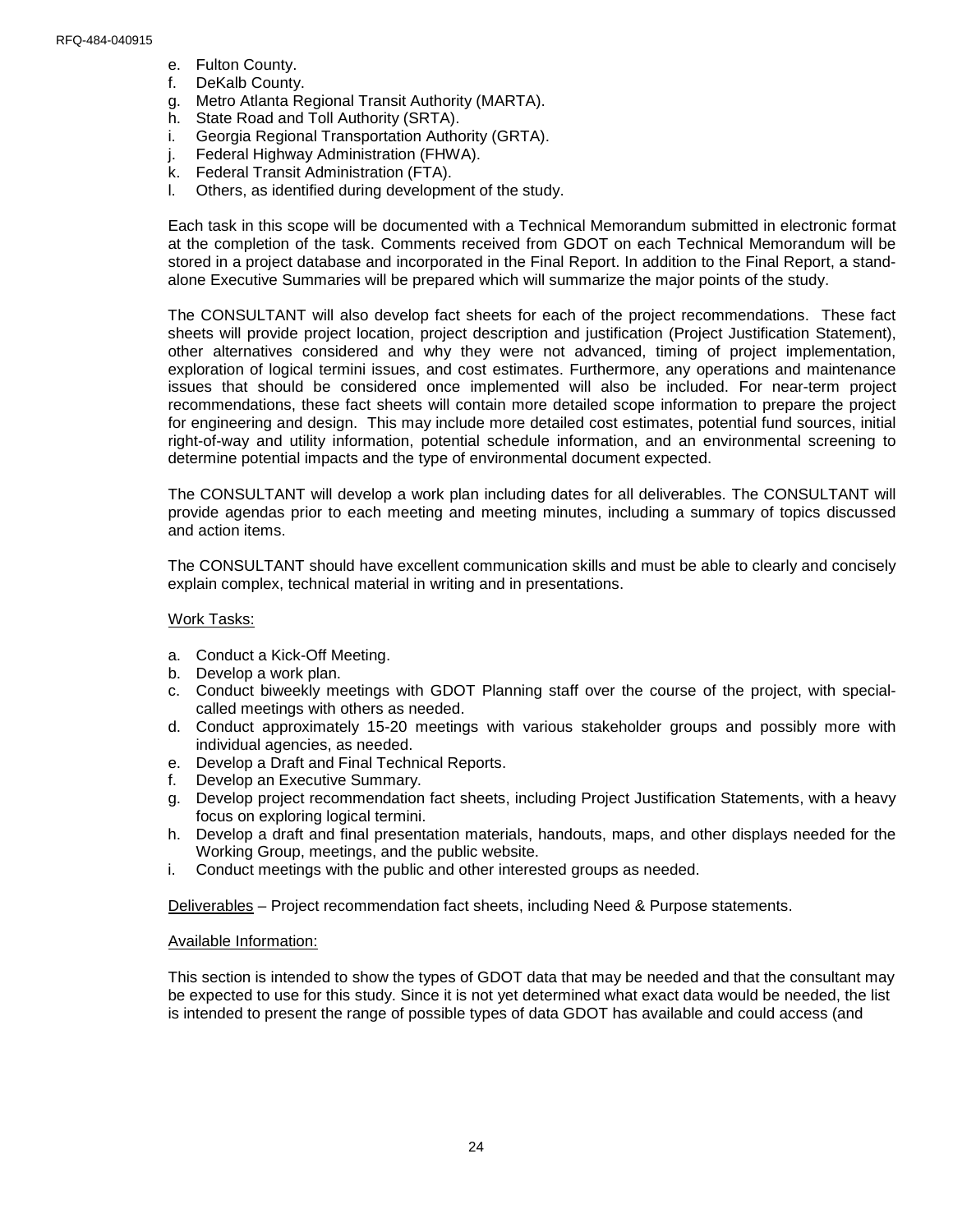- e. Fulton County.
- f. DeKalb County.
- g. Metro Atlanta Regional Transit Authority (MARTA).
- h. State Road and Toll Authority (SRTA).
- i. Georgia Regional Transportation Authority (GRTA).
- j. Federal Highway Administration (FHWA).
- k. Federal Transit Administration (FTA).
- l. Others, as identified during development of the study.

Each task in this scope will be documented with a Technical Memorandum submitted in electronic format at the completion of the task. Comments received from GDOT on each Technical Memorandum will be stored in a project database and incorporated in the Final Report. In addition to the Final Report, a standalone Executive Summaries will be prepared which will summarize the major points of the study.

The CONSULTANT will also develop fact sheets for each of the project recommendations. These fact sheets will provide project location, project description and justification (Project Justification Statement), other alternatives considered and why they were not advanced, timing of project implementation, exploration of logical termini issues, and cost estimates. Furthermore, any operations and maintenance issues that should be considered once implemented will also be included. For near-term project recommendations, these fact sheets will contain more detailed scope information to prepare the project for engineering and design. This may include more detailed cost estimates, potential fund sources, initial right-of-way and utility information, potential schedule information, and an environmental screening to determine potential impacts and the type of environmental document expected.

The CONSULTANT will develop a work plan including dates for all deliverables. The CONSULTANT will provide agendas prior to each meeting and meeting minutes, including a summary of topics discussed and action items.

The CONSULTANT should have excellent communication skills and must be able to clearly and concisely explain complex, technical material in writing and in presentations.

#### Work Tasks:

- a. Conduct a Kick-Off Meeting.
- b. Develop a work plan.
- c. Conduct biweekly meetings with GDOT Planning staff over the course of the project, with specialcalled meetings with others as needed.
- d. Conduct approximately 15-20 meetings with various stakeholder groups and possibly more with individual agencies, as needed.
- e. Develop a Draft and Final Technical Reports.
- f. Develop an Executive Summary.
- g. Develop project recommendation fact sheets, including Project Justification Statements, with a heavy focus on exploring logical termini.
- h. Develop a draft and final presentation materials, handouts, maps, and other displays needed for the Working Group, meetings, and the public website.
- i. Conduct meetings with the public and other interested groups as needed.

Deliverables – Project recommendation fact sheets, including Need & Purpose statements.

#### Available Information:

This section is intended to show the types of GDOT data that may be needed and that the consultant may be expected to use for this study. Since it is not yet determined what exact data would be needed, the list is intended to present the range of possible types of data GDOT has available and could access (and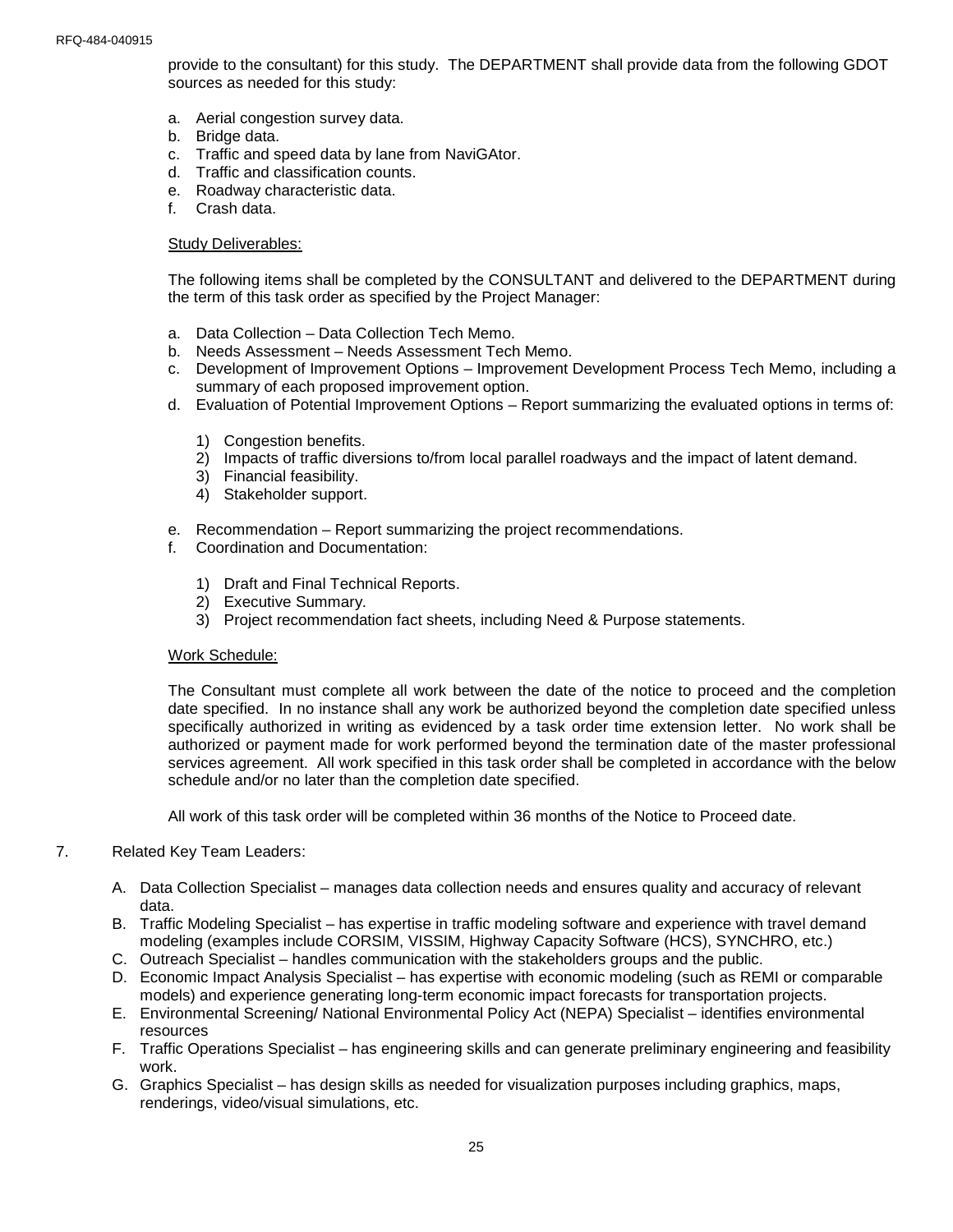provide to the consultant) for this study. The DEPARTMENT shall provide data from the following GDOT sources as needed for this study:

- a. Aerial congestion survey data.
- b. Bridge data.
- c. Traffic and speed data by lane from NaviGAtor.
- d. Traffic and classification counts.
- e. Roadway characteristic data.
- f. Crash data.

#### Study Deliverables:

The following items shall be completed by the CONSULTANT and delivered to the DEPARTMENT during the term of this task order as specified by the Project Manager:

- a. Data Collection Data Collection Tech Memo.
- b. Needs Assessment Needs Assessment Tech Memo.
- c. Development of Improvement Options Improvement Development Process Tech Memo, including a summary of each proposed improvement option.
- d. Evaluation of Potential Improvement Options Report summarizing the evaluated options in terms of:
	- 1) Congestion benefits.
	- 2) Impacts of traffic diversions to/from local parallel roadways and the impact of latent demand.
	- 3) Financial feasibility.
	- 4) Stakeholder support.
- e. Recommendation Report summarizing the project recommendations.
- f. Coordination and Documentation:
	- 1) Draft and Final Technical Reports.
	- 2) Executive Summary.
	- 3) Project recommendation fact sheets, including Need & Purpose statements.

#### Work Schedule:

The Consultant must complete all work between the date of the notice to proceed and the completion date specified. In no instance shall any work be authorized beyond the completion date specified unless specifically authorized in writing as evidenced by a task order time extension letter. No work shall be authorized or payment made for work performed beyond the termination date of the master professional services agreement. All work specified in this task order shall be completed in accordance with the below schedule and/or no later than the completion date specified.

All work of this task order will be completed within 36 months of the Notice to Proceed date.

#### 7. Related Key Team Leaders:

- A. Data Collection Specialist manages data collection needs and ensures quality and accuracy of relevant data.
- B. Traffic Modeling Specialist has expertise in traffic modeling software and experience with travel demand modeling (examples include CORSIM, VISSIM, Highway Capacity Software (HCS), SYNCHRO, etc.)
- C. Outreach Specialist handles communication with the stakeholders groups and the public.
- D. Economic Impact Analysis Specialist has expertise with economic modeling (such as REMI or comparable models) and experience generating long-term economic impact forecasts for transportation projects.
- E. Environmental Screening/ National Environmental Policy Act (NEPA) Specialist identifies environmental resources
- F. Traffic Operations Specialist has engineering skills and can generate preliminary engineering and feasibility work.
- G. Graphics Specialist has design skills as needed for visualization purposes including graphics, maps, renderings, video/visual simulations, etc.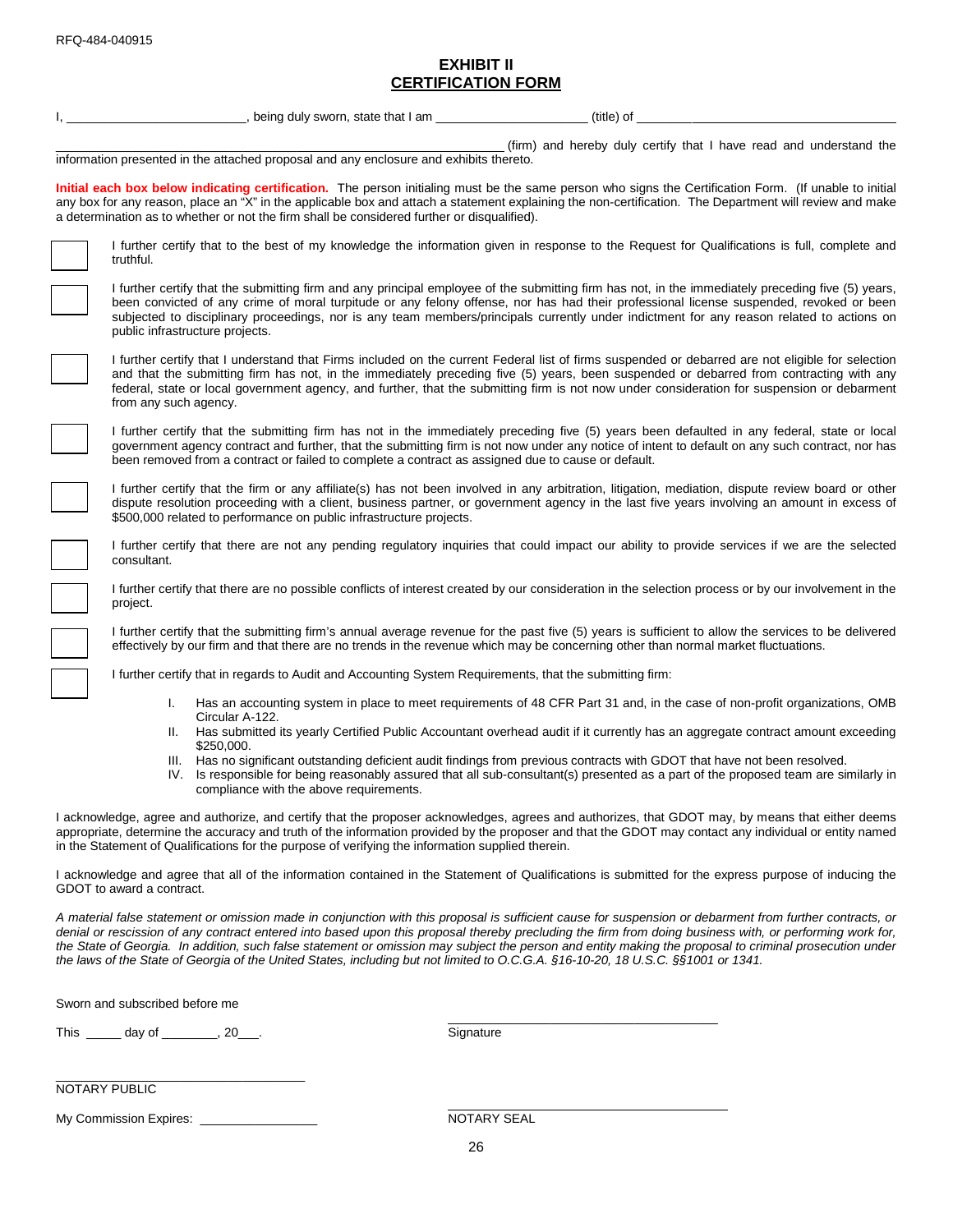## **EXHIBIT II CERTIFICATION FORM**

| being duly sworn, state that I am                                                                                                                                                                                                                                                                                                                                                                                                                                                                                                                                                                                    | (title) of                                                                                                                                                                                                                                                                                                                                                                                                                                  |  |  |  |  |
|----------------------------------------------------------------------------------------------------------------------------------------------------------------------------------------------------------------------------------------------------------------------------------------------------------------------------------------------------------------------------------------------------------------------------------------------------------------------------------------------------------------------------------------------------------------------------------------------------------------------|---------------------------------------------------------------------------------------------------------------------------------------------------------------------------------------------------------------------------------------------------------------------------------------------------------------------------------------------------------------------------------------------------------------------------------------------|--|--|--|--|
| (firm) and hereby duly certify that I have read and understand the<br>information presented in the attached proposal and any enclosure and exhibits thereto.                                                                                                                                                                                                                                                                                                                                                                                                                                                         |                                                                                                                                                                                                                                                                                                                                                                                                                                             |  |  |  |  |
| a determination as to whether or not the firm shall be considered further or disqualified).                                                                                                                                                                                                                                                                                                                                                                                                                                                                                                                          | Initial each box below indicating certification. The person initialing must be the same person who signs the Certification Form. (If unable to initial<br>any box for any reason, place an "X" in the applicable box and attach a statement explaining the non-certification. The Department will review and make                                                                                                                           |  |  |  |  |
| truthful.                                                                                                                                                                                                                                                                                                                                                                                                                                                                                                                                                                                                            | I further certify that to the best of my knowledge the information given in response to the Request for Qualifications is full, complete and                                                                                                                                                                                                                                                                                                |  |  |  |  |
| public infrastructure projects.                                                                                                                                                                                                                                                                                                                                                                                                                                                                                                                                                                                      | I further certify that the submitting firm and any principal employee of the submitting firm has not, in the immediately preceding five (5) years,<br>been convicted of any crime of moral turpitude or any felony offense, nor has had their professional license suspended, revoked or been<br>subjected to disciplinary proceedings, nor is any team members/principals currently under indictment for any reason related to actions on  |  |  |  |  |
| from any such agency.                                                                                                                                                                                                                                                                                                                                                                                                                                                                                                                                                                                                | I further certify that I understand that Firms included on the current Federal list of firms suspended or debarred are not eligible for selection<br>and that the submitting firm has not, in the immediately preceding five (5) years, been suspended or debarred from contracting with any<br>federal, state or local government agency, and further, that the submitting firm is not now under consideration for suspension or debarment |  |  |  |  |
| been removed from a contract or failed to complete a contract as assigned due to cause or default.                                                                                                                                                                                                                                                                                                                                                                                                                                                                                                                   | I further certify that the submitting firm has not in the immediately preceding five (5) years been defaulted in any federal, state or local<br>government agency contract and further, that the submitting firm is not now under any notice of intent to default on any such contract, nor has                                                                                                                                             |  |  |  |  |
| \$500,000 related to performance on public infrastructure projects.                                                                                                                                                                                                                                                                                                                                                                                                                                                                                                                                                  | I further certify that the firm or any affiliate(s) has not been involved in any arbitration, litigation, mediation, dispute review board or other<br>dispute resolution proceeding with a client, business partner, or government agency in the last five years involving an amount in excess of                                                                                                                                           |  |  |  |  |
| consultant.                                                                                                                                                                                                                                                                                                                                                                                                                                                                                                                                                                                                          | I further certify that there are not any pending regulatory inquiries that could impact our ability to provide services if we are the selected                                                                                                                                                                                                                                                                                              |  |  |  |  |
| project.                                                                                                                                                                                                                                                                                                                                                                                                                                                                                                                                                                                                             | I further certify that there are no possible conflicts of interest created by our consideration in the selection process or by our involvement in the                                                                                                                                                                                                                                                                                       |  |  |  |  |
|                                                                                                                                                                                                                                                                                                                                                                                                                                                                                                                                                                                                                      | I further certify that the submitting firm's annual average revenue for the past five (5) years is sufficient to allow the services to be delivered<br>effectively by our firm and that there are no trends in the revenue which may be concerning other than normal market fluctuations.                                                                                                                                                   |  |  |  |  |
| I further certify that in regards to Audit and Accounting System Requirements, that the submitting firm:                                                                                                                                                                                                                                                                                                                                                                                                                                                                                                             |                                                                                                                                                                                                                                                                                                                                                                                                                                             |  |  |  |  |
| L.                                                                                                                                                                                                                                                                                                                                                                                                                                                                                                                                                                                                                   | Has an accounting system in place to meet requirements of 48 CFR Part 31 and, in the case of non-profit organizations, OMB                                                                                                                                                                                                                                                                                                                  |  |  |  |  |
| Circular A-122.<br>Ш.                                                                                                                                                                                                                                                                                                                                                                                                                                                                                                                                                                                                | Has submitted its yearly Certified Public Accountant overhead audit if it currently has an aggregate contract amount exceeding                                                                                                                                                                                                                                                                                                              |  |  |  |  |
| \$250,000.<br>III.<br>compliance with the above requirements.                                                                                                                                                                                                                                                                                                                                                                                                                                                                                                                                                        | Has no significant outstanding deficient audit findings from previous contracts with GDOT that have not been resolved.<br>IV. Is responsible for being reasonably assured that all sub-consultant(s) presented as a part of the proposed team are similarly in                                                                                                                                                                              |  |  |  |  |
| in the Statement of Qualifications for the purpose of verifying the information supplied therein.                                                                                                                                                                                                                                                                                                                                                                                                                                                                                                                    | I acknowledge, agree and authorize, and certify that the proposer acknowledges, agrees and authorizes, that GDOT may, by means that either deems<br>appropriate, determine the accuracy and truth of the information provided by the proposer and that the GDOT may contact any individual or entity named                                                                                                                                  |  |  |  |  |
| I acknowledge and agree that all of the information contained in the Statement of Qualifications is submitted for the express purpose of inducing the<br>GDOT to award a contract.                                                                                                                                                                                                                                                                                                                                                                                                                                   |                                                                                                                                                                                                                                                                                                                                                                                                                                             |  |  |  |  |
| A material false statement or omission made in conjunction with this proposal is sufficient cause for suspension or debarment from further contracts, or<br>denial or rescission of any contract entered into based upon this proposal thereby precluding the firm from doing business with, or performing work for,<br>the State of Georgia. In addition, such false statement or omission may subject the person and entity making the proposal to criminal prosecution under<br>the laws of the State of Georgia of the United States, including but not limited to O.C.G.A. §16-10-20, 18 U.S.C. §§1001 or 1341. |                                                                                                                                                                                                                                                                                                                                                                                                                                             |  |  |  |  |
| Sworn and subscribed before me                                                                                                                                                                                                                                                                                                                                                                                                                                                                                                                                                                                       |                                                                                                                                                                                                                                                                                                                                                                                                                                             |  |  |  |  |
| This _______ day of _________, 20___.                                                                                                                                                                                                                                                                                                                                                                                                                                                                                                                                                                                | Signature                                                                                                                                                                                                                                                                                                                                                                                                                                   |  |  |  |  |

| NOTARY PUBLIC |  |
|---------------|--|
|---------------|--|

My Commission Expires: \_\_\_\_\_\_\_\_\_\_\_\_\_\_\_\_\_ NOTARY SEAL

\_\_\_\_\_\_\_\_\_\_\_\_\_\_\_\_\_\_\_\_\_\_\_\_\_\_\_\_\_\_\_\_\_\_\_\_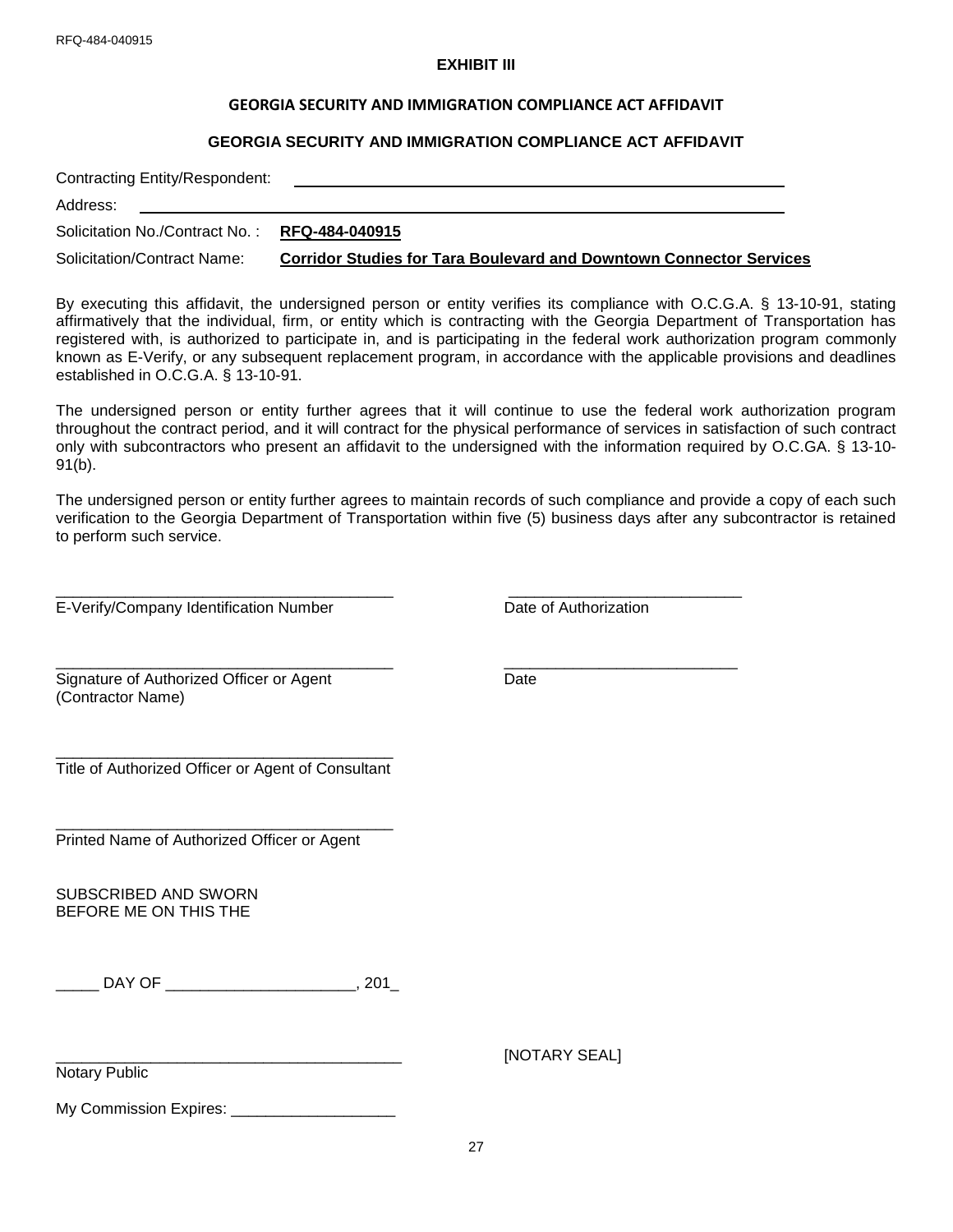### **EXHIBIT III**

#### **GEORGIA SECURITY AND IMMIGRATION COMPLIANCE ACT AFFIDAVIT**

#### **GEORGIA SECURITY AND IMMIGRATION COMPLIANCE ACT AFFIDAVIT**

| Contracting Entity/Respondent:                |                                                                            |  |  |  |  |
|-----------------------------------------------|----------------------------------------------------------------------------|--|--|--|--|
| Address:                                      |                                                                            |  |  |  |  |
| Solicitation No./Contract No.: RFQ-484-040915 |                                                                            |  |  |  |  |
| Solicitation/Contract Name:                   | <b>Corridor Studies for Tara Boulevard and Downtown Connector Services</b> |  |  |  |  |

By executing this affidavit, the undersigned person or entity verifies its compliance with O.C.G.A. § 13-10-91, stating affirmatively that the individual, firm, or entity which is contracting with the Georgia Department of Transportation has registered with, is authorized to participate in, and is participating in the federal work authorization program commonly known as E-Verify, or any subsequent replacement program, in accordance with the applicable provisions and deadlines established in O.C.G.A. § 13-10-91.

The undersigned person or entity further agrees that it will continue to use the federal work authorization program throughout the contract period, and it will contract for the physical performance of services in satisfaction of such contract only with subcontractors who present an affidavit to the undersigned with the information required by O.C.GA. § 13-10- 91(b).

The undersigned person or entity further agrees to maintain records of such compliance and provide a copy of each such verification to the Georgia Department of Transportation within five (5) business days after any subcontractor is retained to perform such service.

 $\_$  ,  $\_$  ,  $\_$  ,  $\_$  ,  $\_$  ,  $\_$  ,  $\_$  ,  $\_$  ,  $\_$  ,  $\_$  ,  $\_$  ,  $\_$  ,  $\_$  ,  $\_$  ,  $\_$  ,  $\_$  ,  $\_$  ,  $\_$  ,  $\_$  ,  $\_$  ,  $\_$  ,  $\_$  ,  $\_$  ,  $\_$  ,  $\_$  ,  $\_$  ,  $\_$  ,  $\_$  ,  $\_$  ,  $\_$  ,  $\_$  ,  $\_$  ,  $\_$  ,  $\_$  ,  $\_$  ,  $\_$  ,  $\_$  ,

E-Verify/Company Identification Number Date of Authorization

\_\_\_\_\_\_\_\_\_\_\_\_\_\_\_\_\_\_\_\_\_\_\_\_\_\_\_\_\_\_\_\_\_\_\_\_\_\_\_ \_\_\_\_\_\_\_\_\_\_\_\_\_\_\_\_\_\_\_\_\_\_\_\_\_\_\_

Signature of Authorized Officer or Agent National Date (Contractor Name)

\_\_\_\_\_\_\_\_\_\_\_\_\_\_\_\_\_\_\_\_\_\_\_\_\_\_\_\_\_\_\_\_\_\_\_\_\_\_\_ Title of Authorized Officer or Agent of Consultant

\_\_\_\_\_\_\_\_\_\_\_\_\_\_\_\_\_\_\_\_\_\_\_\_\_\_\_\_\_\_\_\_\_\_\_\_\_\_\_ Printed Name of Authorized Officer or Agent

SUBSCRIBED AND SWORN BEFORE ME ON THIS THE

\_\_\_\_\_ DAY OF \_\_\_\_\_\_\_\_\_\_\_\_\_\_\_\_\_\_\_\_\_\_, 201\_

Notary Public

[NOTARY SEAL]

My Commission Expires: \_\_\_\_\_\_\_\_\_\_\_\_\_\_\_\_\_\_\_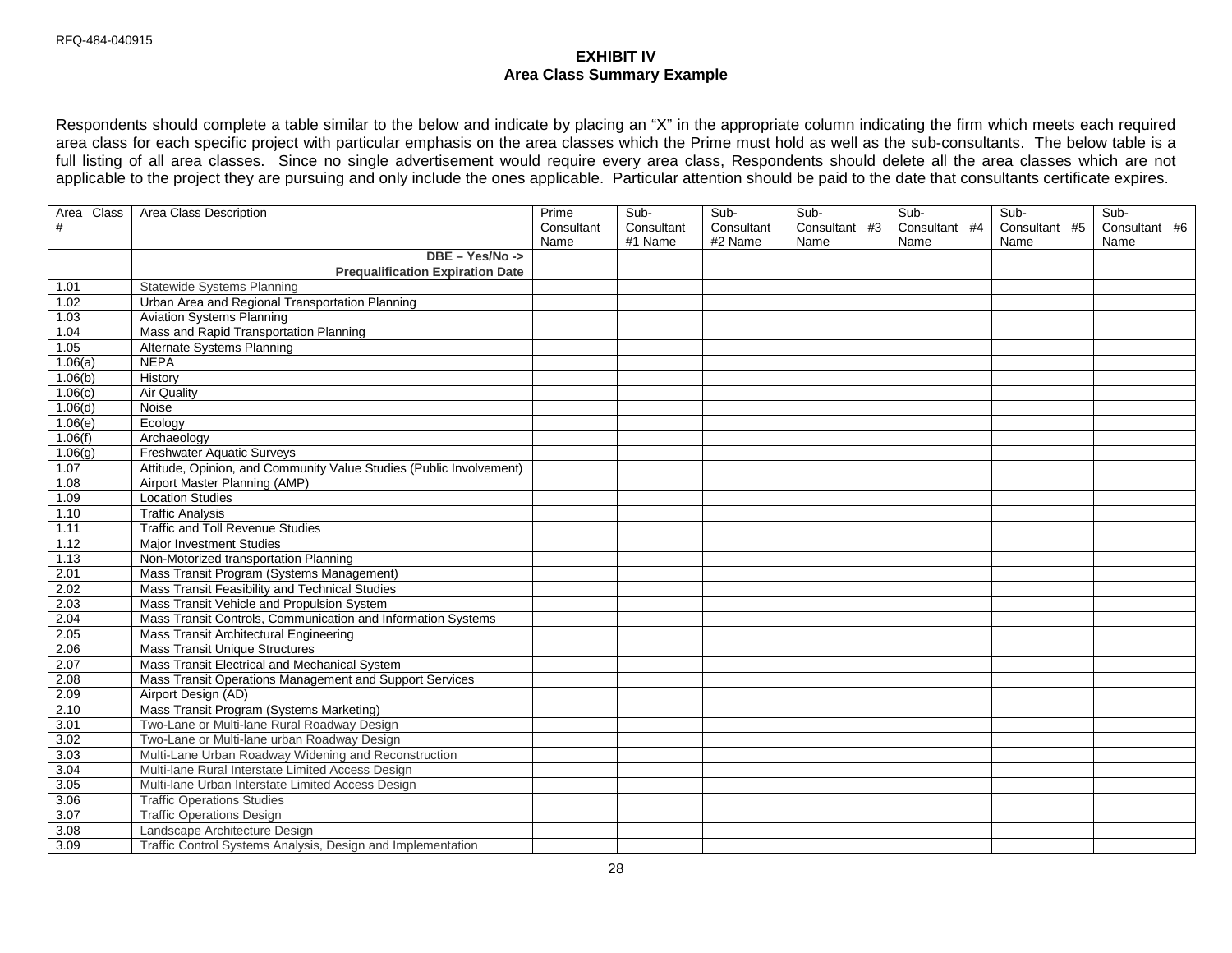## **EXHIBIT IV Area Class Summary Example**

Respondents should complete a table similar to the below and indicate by placing an "X" in the appropriate column indicating the firm which meets each required area class for each specific project with particular emphasis on the area classes which the Prime must hold as well as the sub-consultants. The below table is a full listing of all area classes. Since no single advertisement would require every area class, Respondents should delete all the area classes which are not applicable to the project they are pursuing and only include the ones applicable. Particular attention should be paid to the date that consultants certificate expires.

| Area Class | Area Class Description                                              | Prime      | Sub-       | Sub-       | Sub-          | Sub-          | Sub-          | Sub-          |
|------------|---------------------------------------------------------------------|------------|------------|------------|---------------|---------------|---------------|---------------|
| $\#$       |                                                                     | Consultant | Consultant | Consultant | Consultant #3 | Consultant #4 | Consultant #5 | Consultant #6 |
|            |                                                                     | Name       | #1 Name    | #2 Name    | Name          | Name          | Name          | Name          |
|            | DBE - Yes/No ->                                                     |            |            |            |               |               |               |               |
|            | <b>Prequalification Expiration Date</b>                             |            |            |            |               |               |               |               |
| 1.01       | <b>Statewide Systems Planning</b>                                   |            |            |            |               |               |               |               |
| 1.02       | Urban Area and Regional Transportation Planning                     |            |            |            |               |               |               |               |
| 1.03       | <b>Aviation Systems Planning</b>                                    |            |            |            |               |               |               |               |
| 1.04       | Mass and Rapid Transportation Planning                              |            |            |            |               |               |               |               |
| 1.05       | Alternate Systems Planning                                          |            |            |            |               |               |               |               |
| 1.06(a)    | <b>NEPA</b>                                                         |            |            |            |               |               |               |               |
| 1.06(b)    | History                                                             |            |            |            |               |               |               |               |
| 1.06(c)    | <b>Air Quality</b>                                                  |            |            |            |               |               |               |               |
| 1.06(d)    | Noise                                                               |            |            |            |               |               |               |               |
| 1.06(e)    | Ecology                                                             |            |            |            |               |               |               |               |
| 1.06(f)    | Archaeology                                                         |            |            |            |               |               |               |               |
| 1.06(g)    | <b>Freshwater Aquatic Surveys</b>                                   |            |            |            |               |               |               |               |
| 1.07       | Attitude, Opinion, and Community Value Studies (Public Involvement) |            |            |            |               |               |               |               |
| 1.08       | Airport Master Planning (AMP)                                       |            |            |            |               |               |               |               |
| 1.09       | <b>Location Studies</b>                                             |            |            |            |               |               |               |               |
| 1.10       | <b>Traffic Analysis</b>                                             |            |            |            |               |               |               |               |
| 1.11       | <b>Traffic and Toll Revenue Studies</b>                             |            |            |            |               |               |               |               |
| 1.12       | <b>Major Investment Studies</b>                                     |            |            |            |               |               |               |               |
| 1.13       | Non-Motorized transportation Planning                               |            |            |            |               |               |               |               |
| 2.01       | Mass Transit Program (Systems Management)                           |            |            |            |               |               |               |               |
| 2.02       | Mass Transit Feasibility and Technical Studies                      |            |            |            |               |               |               |               |
| 2.03       | Mass Transit Vehicle and Propulsion System                          |            |            |            |               |               |               |               |
| 2.04       | Mass Transit Controls, Communication and Information Systems        |            |            |            |               |               |               |               |
| 2.05       | Mass Transit Architectural Engineering                              |            |            |            |               |               |               |               |
| 2.06       | <b>Mass Transit Unique Structures</b>                               |            |            |            |               |               |               |               |
| 2.07       | Mass Transit Electrical and Mechanical System                       |            |            |            |               |               |               |               |
| 2.08       | Mass Transit Operations Management and Support Services             |            |            |            |               |               |               |               |
| 2.09       | Airport Design (AD)                                                 |            |            |            |               |               |               |               |
| 2.10       | Mass Transit Program (Systems Marketing)                            |            |            |            |               |               |               |               |
| 3.01       | Two-Lane or Multi-lane Rural Roadway Design                         |            |            |            |               |               |               |               |
| 3.02       | Two-Lane or Multi-lane urban Roadway Design                         |            |            |            |               |               |               |               |
| 3.03       | Multi-Lane Urban Roadway Widening and Reconstruction                |            |            |            |               |               |               |               |
| 3.04       | Multi-lane Rural Interstate Limited Access Design                   |            |            |            |               |               |               |               |
| 3.05       | Multi-lane Urban Interstate Limited Access Design                   |            |            |            |               |               |               |               |
| 3.06       | <b>Traffic Operations Studies</b>                                   |            |            |            |               |               |               |               |
| 3.07       | <b>Traffic Operations Design</b>                                    |            |            |            |               |               |               |               |
| 3.08       | Landscape Architecture Design                                       |            |            |            |               |               |               |               |
| 3.09       | Traffic Control Systems Analysis, Design and Implementation         |            |            |            |               |               |               |               |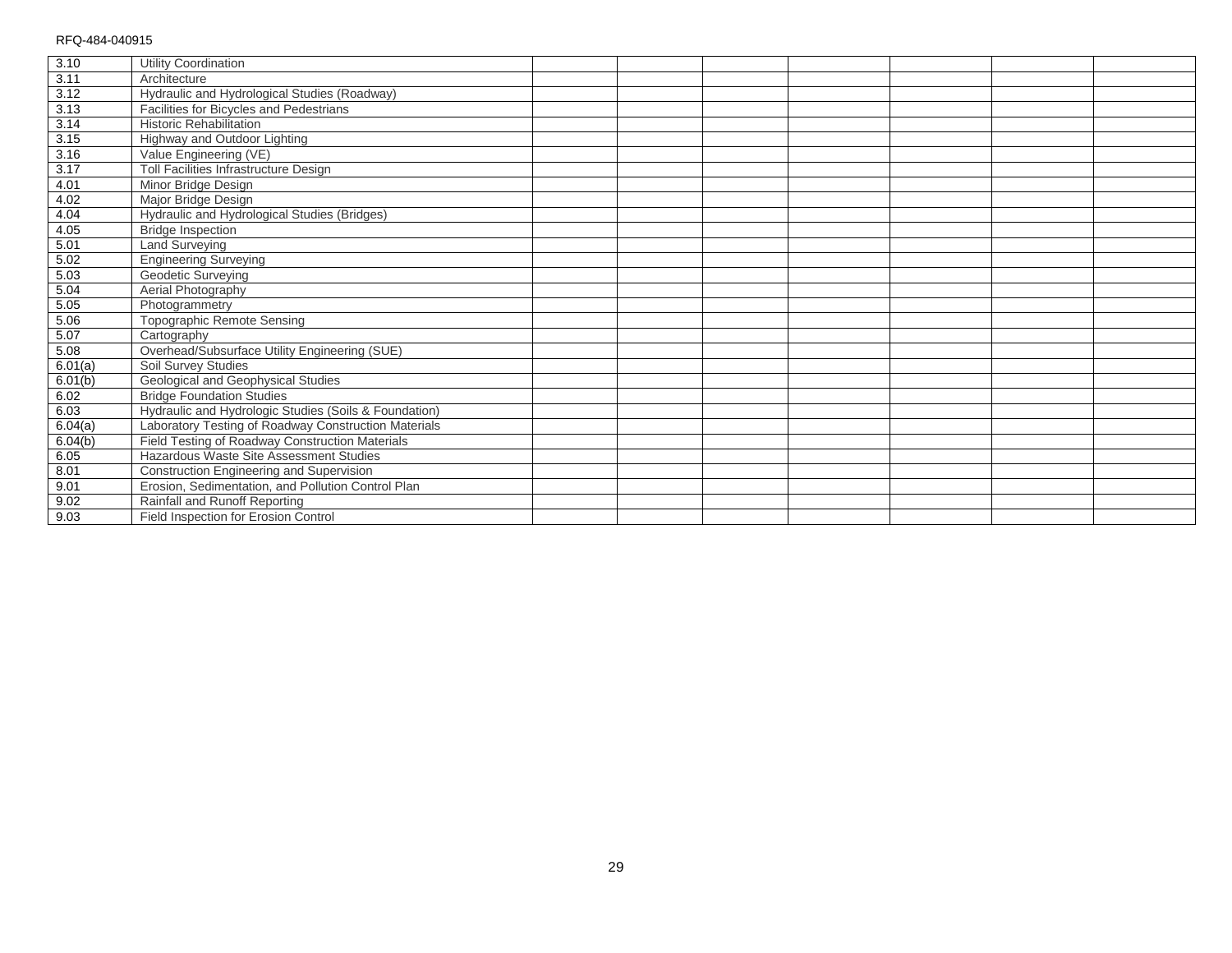| 3.10                | Utility Coordination                                  |  |  |  |  |
|---------------------|-------------------------------------------------------|--|--|--|--|
| 3.11                | Architecture                                          |  |  |  |  |
| 3.12                | Hydraulic and Hydrological Studies (Roadway)          |  |  |  |  |
| 3.13                | Facilities for Bicycles and Pedestrians               |  |  |  |  |
| 3.14                | <b>Historic Rehabilitation</b>                        |  |  |  |  |
| 3.15                | Highway and Outdoor Lighting                          |  |  |  |  |
| $\frac{3.16}{3.16}$ | Value Engineering (VE)                                |  |  |  |  |
| 3.17                | Toll Facilities Infrastructure Design                 |  |  |  |  |
| 4.01                | Minor Bridge Design                                   |  |  |  |  |
| 4.02                | Major Bridge Design                                   |  |  |  |  |
| 4.04                | Hydraulic and Hydrological Studies (Bridges)          |  |  |  |  |
| 4.05                | <b>Bridge Inspection</b>                              |  |  |  |  |
| 5.01                | <b>Land Surveying</b>                                 |  |  |  |  |
| 5.02                | <b>Engineering Surveying</b>                          |  |  |  |  |
| 5.03                | Geodetic Surveying                                    |  |  |  |  |
| 5.04                | Aerial Photography                                    |  |  |  |  |
| 5.05                | Photogrammetry                                        |  |  |  |  |
| 5.06                | <b>Topographic Remote Sensing</b>                     |  |  |  |  |
| 5.07                | Cartography                                           |  |  |  |  |
| 5.08                | Overhead/Subsurface Utility Engineering (SUE)         |  |  |  |  |
| 6.01(a)             | Soil Survey Studies                                   |  |  |  |  |
| 6.01(b)             | Geological and Geophysical Studies                    |  |  |  |  |
| 6.02                | <b>Bridge Foundation Studies</b>                      |  |  |  |  |
| 6.03                | Hydraulic and Hydrologic Studies (Soils & Foundation) |  |  |  |  |
| 6.04(a)             | Laboratory Testing of Roadway Construction Materials  |  |  |  |  |
| 6.04(b)             | Field Testing of Roadway Construction Materials       |  |  |  |  |
| 6.05                | Hazardous Waste Site Assessment Studies               |  |  |  |  |
| 8.01                | Construction Engineering and Supervision              |  |  |  |  |
| 9.01                | Erosion, Sedimentation, and Pollution Control Plan    |  |  |  |  |
| 9.02                | Rainfall and Runoff Reporting                         |  |  |  |  |
| 9.03                | Field Inspection for Erosion Control                  |  |  |  |  |